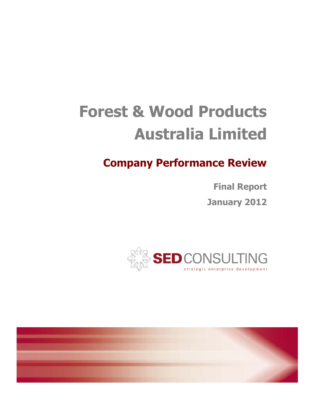# **Forest & Wood Products Forest Australia Limited**

# **Company Performance Review**

**Final Report January 2012 January** 



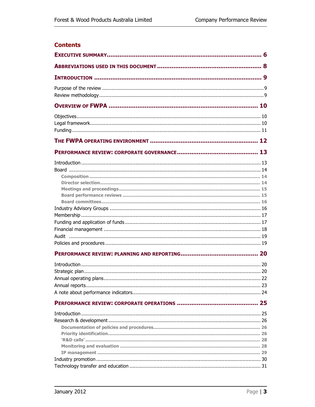#### **Contents**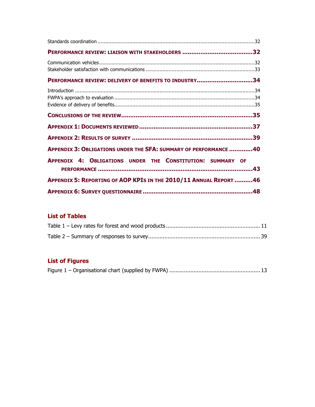| PERFORMANCE REVIEW: DELIVERY OF BENEFITS TO INDUSTRY34            |  |
|-------------------------------------------------------------------|--|
|                                                                   |  |
|                                                                   |  |
|                                                                   |  |
|                                                                   |  |
| APPENDIX 3: OBLIGATIONS UNDER THE SFA: SUMMARY OF PERFORMANCE 40  |  |
| APPENDIX 4: OBLIGATIONS UNDER THE CONSTITUTION: SUMMARY OF        |  |
| APPENDIX 5: REPORTING OF AOP KPIS IN THE 2010/11 ANNUAL REPORT 46 |  |
|                                                                   |  |

# **List of Tables**

## **List of Figures**

|--|--|--|--|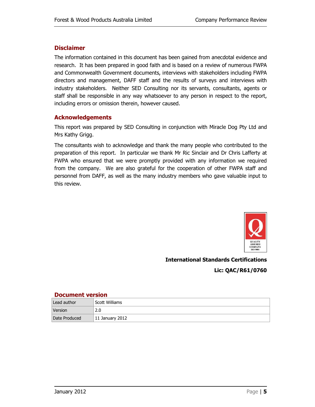#### **Disclaimer**

The information contained in this document has been gained from anecdotal evidence and research. It has been prepared in good faith and is based on a review of numerous FWPA and Commonwealth Government documents, interviews with stakeholders including FWPA directors and management, DAFF staff and the results of surveys and interviews with industry stakeholders. Neither SED Consulting nor its servants, consultants, agents or staff shall be responsible in any way whatsoever to any person in respect to the report, including errors or omission therein, however caused.

#### **Acknowledgements**

This report was prepared by SED Consulting in conjunction with Miracle Dog Pty Ltd and Mrs Kathy Grigg.

The consultants wish to acknowledge and thank the many people who contributed to the preparation of this report. In particular we thank Mr Ric Sinclair and Dr Chris Lafferty at FWPA who ensured that we were promptly provided with any information we required from the company. We are also grateful for the cooperation of other FWPA staff and personnel from DAFF, as well as the many industry members who gave valuable input to this review.



**International Standards Certifications Lic: QAC/R61/0760** 

#### **Document version**

| Lead author   | Scott Williams  |
|---------------|-----------------|
| Version       | 2.0             |
| Date Produced | 11 January 2012 |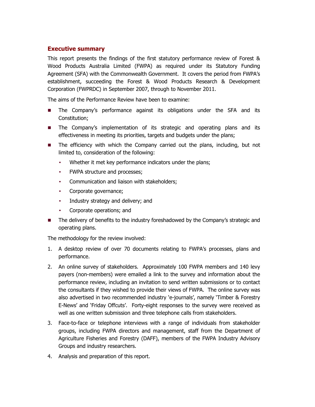#### **Executive summary**

This report presents the findings of the first statutory performance review of Forest & Wood Products Australia Limited (FWPA) as required under its Statutory Funding Agreement (SFA) with the Commonwealth Government. It covers the period from FWPA's establishment, succeeding the Forest & Wood Products Research & Development Corporation (FWPRDC) in September 2007, through to November 2011.

The aims of the Performance Review have been to examine:

- **The Company's performance against its obligations under the SFA and its** Constitution;
- **The Company's implementation of its strategic and operating plans and its** effectiveness in meeting its priorities, targets and budgets under the plans;
- **The efficiency with which the Company carried out the plans, including, but not** limited to, consideration of the following:
	- Whether it met key performance indicators under the plans;
	- FWPA structure and processes;
	- Communication and liaison with stakeholders;
	- Corporate governance;
	- Industry strategy and delivery; and
	- Corporate operations; and
- The delivery of benefits to the industry foreshadowed by the Company's strategic and operating plans.

The methodology for the review involved:

- 1. A desktop review of over 70 documents relating to FWPA's processes, plans and performance.
- 2. An online survey of stakeholders. Approximately 100 FWPA members and 140 levy payers (non-members) were emailed a link to the survey and information about the performance review, including an invitation to send written submissions or to contact the consultants if they wished to provide their views of FWPA. The online survey was also advertised in two recommended industry 'e-journals', namely 'Timber & Forestry E-News' and 'Friday Offcuts'. Forty-eight responses to the survey were received as well as one written submission and three telephone calls from stakeholders.
- 3. Face-to-face or telephone interviews with a range of individuals from stakeholder groups, including FWPA directors and management, staff from the Department of Agriculture Fisheries and Forestry (DAFF), members of the FWPA Industry Advisory Groups and industry researchers.
- 4. Analysis and preparation of this report.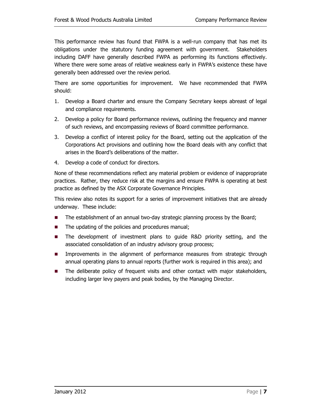This performance review has found that FWPA is a well-run company that has met its obligations under the statutory funding agreement with government. Stakeholders including DAFF have generally described FWPA as performing its functions effectively. Where there were some areas of relative weakness early in FWPA's existence these have generally been addressed over the review period.

There are some opportunities for improvement. We have recommended that FWPA should:

- 1. Develop a Board charter and ensure the Company Secretary keeps abreast of legal and compliance requirements.
- 2. Develop a policy for Board performance reviews, outlining the frequency and manner of such reviews, and encompassing reviews of Board committee performance.
- 3. Develop a conflict of interest policy for the Board, setting out the application of the Corporations Act provisions and outlining how the Board deals with any conflict that arises in the Board's deliberations of the matter.
- 4. Develop a code of conduct for directors.

None of these recommendations reflect any material problem or evidence of inappropriate practices. Rather, they reduce risk at the margins and ensure FWPA is operating at best practice as defined by the ASX Corporate Governance Principles.

This review also notes its support for a series of improvement initiatives that are already underway. These include:

- The establishment of an annual two-day strategic planning process by the Board;
- The updating of the policies and procedures manual;
- **The development of investment plans to guide R&D priority setting, and the** associated consolidation of an industry advisory group process;
- **IMPROVEMENTS** In the alignment of performance measures from strategic through annual operating plans to annual reports (further work is required in this area); and
- **The deliberate policy of frequent visits and other contact with major stakeholders,** including larger levy payers and peak bodies, by the Managing Director.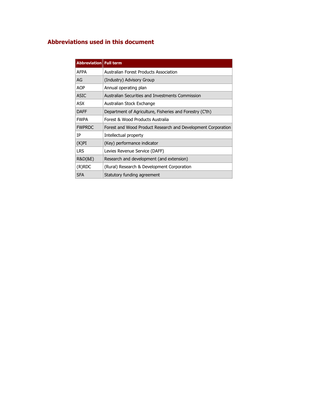### **Abbreviations used in this document**

| <b>Abbreviation   Full term</b> |                                                              |
|---------------------------------|--------------------------------------------------------------|
| <b>AFPA</b>                     | Australian Forest Products Association                       |
| AG                              | (Industry) Advisory Group                                    |
| <b>AOP</b>                      | Annual operating plan                                        |
| <b>ASIC</b>                     | Australian Securities and Investments Commission             |
| ASX                             | Australian Stock Exchange                                    |
| <b>DAFF</b>                     | Department of Agriculture, Fisheries and Forestry (C'th)     |
| <b>FWPA</b>                     | Forest & Wood Products Australia                             |
| <b>FWPRDC</b>                   | Forest and Wood Product Research and Development Corporation |
| IΡ                              | Intellectual property                                        |
| (K)PI                           | (Key) performance indicator                                  |
| <b>LRS</b>                      | Levies Revenue Service (DAFF)                                |
| R&D(&E)                         | Research and development (and extension)                     |
| (R)RDC                          | (Rural) Research & Development Corporation                   |
| <b>SFA</b>                      | Statutory funding agreement                                  |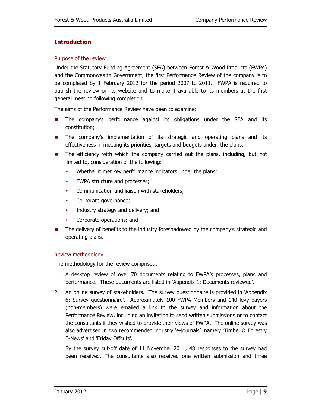#### **Introduction**

#### Purpose of the review

Under the Statutory Funding Agreement (SFA) between Forest & Wood Products (FWPA) and the Commonwealth Government, the first Performance Review of the company is to be completed by 1 February 2012 for the period 2007 to 2011. FWPA is required to publish the review on its website and to make it available to its members at the first general meeting following completion.

The aims of the Performance Review have been to examine:

- **The company's performance against its obligations under the SFA and its** constitution;
- **The company's implementation of its strategic and operating plans and its** effectiveness in meeting its priorities, targets and budgets under the plans;
- **The efficiency with which the company carried out the plans, including, but not** limited to, consideration of the following:
	- Whether it met key performance indicators under the plans;
	- FWPA structure and processes;
	- Communication and liaison with stakeholders;
	- Corporate governance;
	- Industry strategy and delivery; and
	- Corporate operations; and
- The delivery of benefits to the industry foreshadowed by the company's strategic and operating plans.

#### Review methodology

The methodology for the review comprised:

- 1. A desktop review of over 70 documents relating to FWPA's processes, plans and performance. These documents are listed in 'Appendix 1: Documents reviewed'.
- 2. An online survey of stakeholders. The survey questionnaire is provided in 'Appendix 6: Survey questionnaire'. Approximately 100 FWPA Members and 140 levy payers (non-members) were emailed a link to the survey and information about the Performance Review, including an invitation to send written submissions or to contact the consultants if they wished to provide their views of FWPA. The online survey was also advertised in two recommended industry 'e-journals', namely 'Timber & Forestry E-News' and 'Friday Offcuts'.

By the survey cut-off date of 11 November 2011, 48 responses to the survey had been received. The consultants also received one written submission and three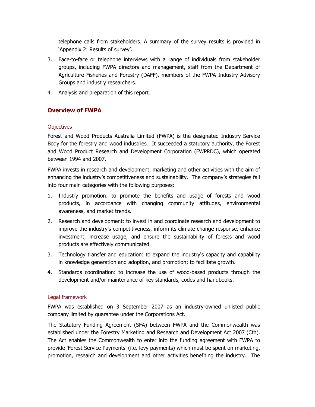telephone calls from stakeholders. A summary of the survey results is provided in 'Appendix 2: Results of survey'.

- 3. Face-to-face or telephone interviews with a range of individuals from stakeholder groups, including FWPA directors and management, staff from the Department of Agriculture Fisheries and Forestry (DAFF), members of the FWPA Industry Advisory Groups and industry researchers.
- 4. Analysis and preparation of this report.

#### **Overview of FWPA**

#### **Objectives**

Forest and Wood Products Australia Limited (FWPA) is the designated Industry Service Body for the forestry and wood industries. It succeeded a statutory authority, the Forest and Wood Product Research and Development Corporation (FWPRDC), which operated between 1994 and 2007.

FWPA invests in research and development, marketing and other activities with the aim of enhancing the industry's competitiveness and sustainability. The company's strategies fall into four main categories with the following purposes:

- 1. Industry promotion: to promote the benefits and usage of forests and wood products, in accordance with changing community attitudes, environmental awareness, and market trends.
- 2. Research and development: to invest in and coordinate research and development to improve the industry's competitiveness, inform its climate change response, enhance investment, increase usage, and ensure the sustainability of forests and wood products are effectively communicated.
- 3. Technology transfer and education: to expand the industry's capacity and capability in knowledge generation and adoption, and promotion; to facilitate growth.
- 4. Standards coordination: to increase the use of wood-based products through the development and/or maintenance of key standards, codes and handbooks.

#### Legal framework

FWPA was established on 3 September 2007 as an industry-owned unlisted public company limited by guarantee under the Corporations Act.

The Statutory Funding Agreement (SFA) between FWPA and the Commonwealth was established under the Forestry Marketing and Research and Development Act 2007 (Cth). The Act enables the Commonwealth to enter into the funding agreement with FWPA to provide 'Forest Service Payments' (i.e. levy payments) which must be spent on marketing, promotion, research and development and other activities benefiting the industry. The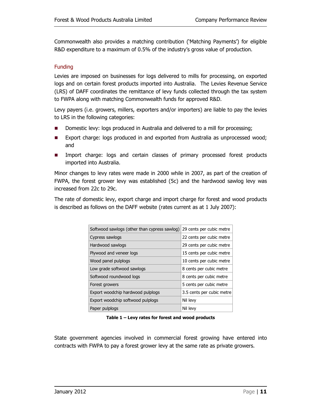Commonwealth also provides a matching contribution ('Matching Payments') for eligible R&D expenditure to a maximum of 0.5% of the industry's gross value of production.

#### Funding

Levies are imposed on businesses for logs delivered to mills for processing, on exported logs and on certain forest products imported into Australia. The Levies Revenue Service (LRS) of DAFF coordinates the remittance of levy funds collected through the tax system to FWPA along with matching Commonwealth funds for approved R&D.

Levy payers (i.e. growers, millers, exporters and/or importers) are liable to pay the levies to LRS in the following categories:

- Domestic levy: logs produced in Australia and delivered to a mill for processing;
- **Export charge: logs produced in and exported from Australia as unprocessed wood;** and
- **IMPORE IMPORE:** logs and certain classes of primary processed forest products imported into Australia.

Minor changes to levy rates were made in 2000 while in 2007, as part of the creation of FWPA, the forest grower levy was established (5c) and the hardwood sawlog levy was increased from 22c to 29c.

The rate of domestic levy, export charge and import charge for forest and wood products is described as follows on the DAFF website (rates current as at 1 July 2007):

| Softwood sawlogs (other than cypress sawlog)                   | 29 cents per cubic metre |  |  |
|----------------------------------------------------------------|--------------------------|--|--|
| Cypress sawlogs                                                | 22 cents per cubic metre |  |  |
| Hardwood sawlogs                                               | 29 cents per cubic metre |  |  |
| Plywood and veneer logs<br>15 cents per cubic metre            |                          |  |  |
| Wood panel pulplogs                                            | 10 cents per cubic metre |  |  |
| Low grade softwood sawlogs                                     | 8 cents per cubic metre  |  |  |
| Softwood roundwood logs                                        | 8 cents per cubic metre  |  |  |
| 5 cents per cubic metre<br>Forest growers                      |                          |  |  |
| Export woodchip hardwood pulplogs<br>3.5 cents per cubic metre |                          |  |  |
| Export woodchip softwood pulplogs                              | Nil levy                 |  |  |
| Paper pulplogs                                                 | Nil levy                 |  |  |

**Table 1 – Levy rates for forest and wood products** 

State government agencies involved in commercial forest growing have entered into contracts with FWPA to pay a forest grower levy at the same rate as private growers.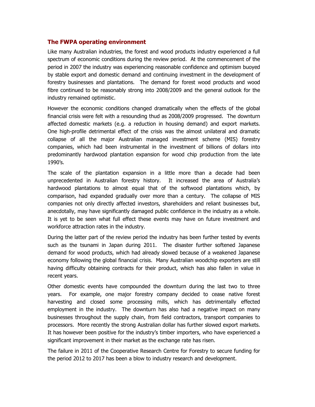#### **The FWPA operating environment**

Like many Australian industries, the forest and wood products industry experienced a full spectrum of economic conditions during the review period. At the commencement of the period in 2007 the industry was experiencing reasonable confidence and optimism buoyed by stable export and domestic demand and continuing investment in the development of forestry businesses and plantations. The demand for forest wood products and wood fibre continued to be reasonably strong into 2008/2009 and the general outlook for the industry remained optimistic.

However the economic conditions changed dramatically when the effects of the global financial crisis were felt with a resounding thud as 2008/2009 progressed. The downturn affected domestic markets (e.g. a reduction in housing demand) and export markets. One high-profile detrimental effect of the crisis was the almost unilateral and dramatic collapse of all the major Australian managed investment scheme (MIS) forestry companies, which had been instrumental in the investment of billions of dollars into predominantly hardwood plantation expansion for wood chip production from the late 1990's.

The scale of the plantation expansion in a little more than a decade had been unprecedented in Australian forestry history. It increased the area of Australia's hardwood plantations to almost equal that of the softwood plantations which, by comparison, had expanded gradually over more than a century. The collapse of MIS companies not only directly affected investors, shareholders and reliant businesses but, anecdotally, may have significantly damaged public confidence in the industry as a whole. It is yet to be seen what full effect these events may have on future investment and workforce attraction rates in the industry.

During the latter part of the review period the industry has been further tested by events such as the tsunami in Japan during 2011. The disaster further softened Japanese demand for wood products, which had already slowed because of a weakened Japanese economy following the global financial crisis. Many Australian woodchip exporters are still having difficulty obtaining contracts for their product, which has also fallen in value in recent years.

Other domestic events have compounded the downturn during the last two to three years. For example, one major forestry company decided to cease native forest harvesting and closed some processing mills, which has detrimentally effected employment in the industry. The downturn has also had a negative impact on many businesses throughout the supply chain, from field contractors, transport companies to processors. More recently the strong Australian dollar has further slowed export markets. It has however been positive for the industry's timber importers, who have experienced a significant improvement in their market as the exchange rate has risen.

The failure in 2011 of the Cooperative Research Centre for Forestry to secure funding for the period 2012 to 2017 has been a blow to industry research and development.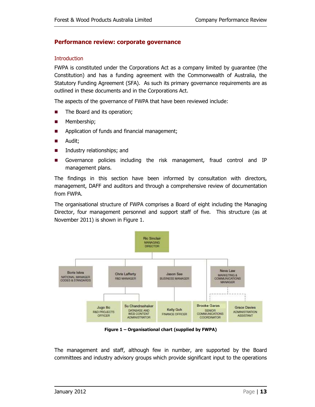#### **Performance review: corporate governance**

#### **Introduction**

FWPA is constituted under the Corporations Act as a company limited by guarantee (the Constitution) and has a funding agreement with the Commonwealth of Australia, the Statutory Funding Agreement (SFA). As such its primary governance requirements are as outlined in these documents and in the Corporations Act.

The aspects of the governance of FWPA that have been reviewed include:

- The Board and its operation;
- **Membership**;
- **Application of funds and financial management;**
- **Audit**;
- **Industry relationships; and**
- Governance policies including the risk management, fraud control and IP management plans.

The findings in this section have been informed by consultation with directors, management, DAFF and auditors and through a comprehensive review of documentation from FWPA.

The organisational structure of FWPA comprises a Board of eight including the Managing Director, four management personnel and support staff of five. This structure (as at November 2011) is shown in Figure 1.



**Figure 1 – Organisational chart (supplied by FWPA)** 

The management and staff, although few in number, are supported by the Board committees and industry advisory groups which provide significant input to the operations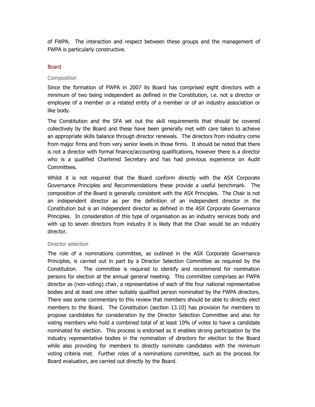of FWPA. The interaction and respect between these groups and the management of FWPA is particularly constructive.

#### **Board**

#### Composition

Since the formation of FWPA in 2007 its Board has comprised eight directors with a minimum of two being independent as defined in the Constitution, i.e. not a director or employee of a member or a related entity of a member or of an industry association or like body.

The Constitution and the SFA set out the skill requirements that should be covered collectively by the Board and these have been generally met with care taken to achieve an appropriate skills balance through director renewals. The directors from industry come from major firms and from very senior levels in those firms. It should be noted that there is not a director with formal finance/accounting qualifications, however there is a director who is a qualified Chartered Secretary and has had previous experience on Audit Committees.

Whilst it is not required that the Board conform directly with the ASX Corporate Governance Principles and Recommendations these provide a useful benchmark. The composition of the Board is generally consistent with the ASX Principles. The Chair is not an independent director as per the definition of an independent director in the Constitution but is an independent director as defined in the ASX Corporate Governance Principles. In consideration of this type of organisation as an industry services body and with up to seven directors from industry it is likely that the Chair would be an industry director.

#### Director selection

The role of a nominations committee, as outlined in the ASX Corporate Governance Principles, is carried out in part by a Director Selection Committee as required by the Constitution. The committee is required to identify and recommend for nomination persons for election at the annual general meeting. This committee comprises an FWPA director as (non-voting) chair, a representative of each of the four national representative bodies and at least one other suitably qualified person nominated by the FWPA directors. There was some commentary to this review that members should be able to directly elect members to the Board. The Constitution (section 13.10) has provision for members to propose candidates for consideration by the Director Selection Committee and also for voting members who hold a combined total of at least 10% of votes to have a candidate nominated for election. This process is endorsed as it enables strong participation by the industry representative bodies in the nomination of directors for election to the Board while also providing for members to directly nominate candidates with the minimum voting criteria met. Further roles of a nominations committee, such as the process for Board evaluation, are carried out directly by the Board.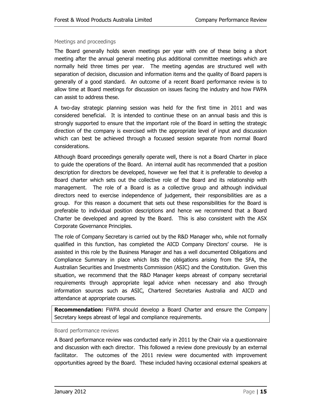#### Meetings and proceedings

The Board generally holds seven meetings per year with one of these being a short meeting after the annual general meeting plus additional committee meetings which are normally held three times per year. The meeting agendas are structured well with separation of decision, discussion and information items and the quality of Board papers is generally of a good standard. An outcome of a recent Board performance review is to allow time at Board meetings for discussion on issues facing the industry and how FWPA can assist to address these.

A two-day strategic planning session was held for the first time in 2011 and was considered beneficial. It is intended to continue these on an annual basis and this is strongly supported to ensure that the important role of the Board in setting the strategic direction of the company is exercised with the appropriate level of input and discussion which can best be achieved through a focussed session separate from normal Board considerations.

Although Board proceedings generally operate well, there is not a Board Charter in place to guide the operations of the Board. An internal audit has recommended that a position description for directors be developed, however we feel that it is preferable to develop a Board charter which sets out the collective role of the Board and its relationship with management. The role of a Board is as a collective group and although individual directors need to exercise independence of judgement, their responsibilities are as a group. For this reason a document that sets out these responsibilities for the Board is preferable to individual position descriptions and hence we recommend that a Board Charter be developed and agreed by the Board. This is also consistent with the ASX Corporate Governance Principles.

The role of Company Secretary is carried out by the R&D Manager who, while not formally qualified in this function, has completed the AICD Company Directors' course. He is assisted in this role by the Business Manager and has a well documented Obligations and Compliance Summary in place which lists the obligations arising from the SFA, the Australian Securities and Investments Commission (ASIC) and the Constitution. Given this situation, we recommend that the R&D Manager keeps abreast of company secretarial requirements through appropriate legal advice when necessary and also through information sources such as ASIC, Chartered Secretaries Australia and AICD and attendance at appropriate courses.

**Recommendation:** FWPA should develop a Board Charter and ensure the Company Secretary keeps abreast of legal and compliance requirements.

#### Board performance reviews

A Board performance review was conducted early in 2011 by the Chair via a questionnaire and discussion with each director. This followed a review done previously by an external facilitator. The outcomes of the 2011 review were documented with improvement opportunities agreed by the Board. These included having occasional external speakers at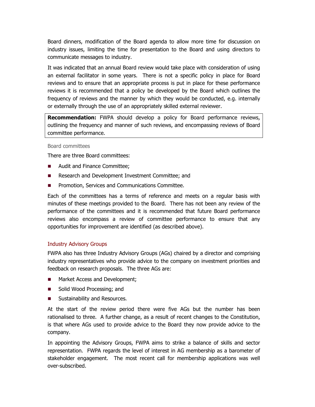Board dinners, modification of the Board agenda to allow more time for discussion on industry issues, limiting the time for presentation to the Board and using directors to communicate messages to industry.

It was indicated that an annual Board review would take place with consideration of using an external facilitator in some years. There is not a specific policy in place for Board reviews and to ensure that an appropriate process is put in place for these performance reviews it is recommended that a policy be developed by the Board which outlines the frequency of reviews and the manner by which they would be conducted, e.g. internally or externally through the use of an appropriately skilled external reviewer.

**Recommendation:** FWPA should develop a policy for Board performance reviews, outlining the frequency and manner of such reviews, and encompassing reviews of Board committee performance.

#### Board committees

There are three Board committees:

- Audit and Finance Committee;
- Research and Development Investment Committee; and
- **Promotion, Services and Communications Committee.**

Each of the committees has a terms of reference and meets on a regular basis with minutes of these meetings provided to the Board. There has not been any review of the performance of the committees and it is recommended that future Board performance reviews also encompass a review of committee performance to ensure that any opportunities for improvement are identified (as described above).

#### Industry Advisory Groups

FWPA also has three Industry Advisory Groups (AGs) chaired by a director and comprising industry representatives who provide advice to the company on investment priorities and feedback on research proposals. The three AGs are:

- Market Access and Development;
- Solid Wood Processing; and
- Sustainability and Resources.

At the start of the review period there were five AGs but the number has been rationalised to three. A further change, as a result of recent changes to the Constitution, is that where AGs used to provide advice to the Board they now provide advice to the company.

In appointing the Advisory Groups, FWPA aims to strike a balance of skills and sector representation. FWPA regards the level of interest in AG membership as a barometer of stakeholder engagement. The most recent call for membership applications was well over-subscribed.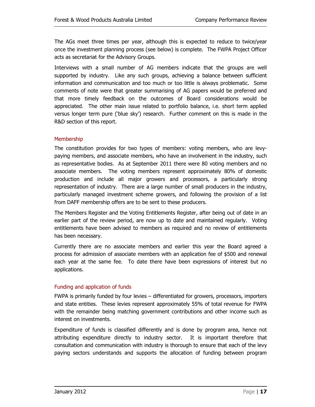The AGs meet three times per year, although this is expected to reduce to twice/year once the investment planning process (see below) is complete. The FWPA Project Officer acts as secretariat for the Advisory Groups.

Interviews with a small number of AG members indicate that the groups are well supported by industry. Like any such groups, achieving a balance between sufficient information and communication and too much or too little is always problematic. Some comments of note were that greater summarising of AG papers would be preferred and that more timely feedback on the outcomes of Board considerations would be appreciated. The other main issue related to portfolio balance, i.e. short term applied versus longer term pure ('blue sky') research. Further comment on this is made in the R&D section of this report.

#### **Membership**

The constitution provides for two types of members: voting members, who are levypaying members, and associate members, who have an involvement in the industry, such as representative bodies. As at September 2011 there were 80 voting members and no associate members. The voting members represent approximately 80% of domestic production and include all major growers and processors, a particularly strong representation of industry. There are a large number of small producers in the industry, particularly managed investment scheme growers, and following the provision of a list from DAFF membership offers are to be sent to these producers.

The Members Register and the Voting Entitlements Register, after being out of date in an earlier part of the review period, are now up to date and maintained regularly. Voting entitlements have been advised to members as required and no review of entitlements has been necessary.

Currently there are no associate members and earlier this year the Board agreed a process for admission of associate members with an application fee of \$500 and renewal each year at the same fee. To date there have been expressions of interest but no applications.

#### Funding and application of funds

FWPA is primarily funded by four levies – differentiated for growers, processors, importers and state entities. These levies represent approximately 55% of total revenue for FWPA with the remainder being matching government contributions and other income such as interest on investments.

Expenditure of funds is classified differently and is done by program area, hence not attributing expenditure directly to industry sector. It is important therefore that consultation and communication with industry is thorough to ensure that each of the levy paying sectors understands and supports the allocation of funding between program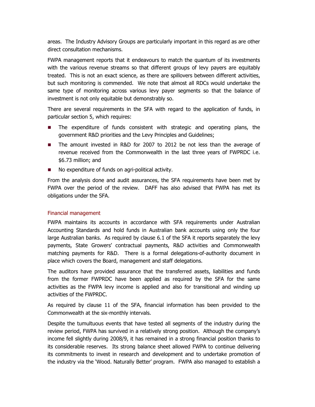areas. The Industry Advisory Groups are particularly important in this regard as are other direct consultation mechanisms.

FWPA management reports that it endeavours to match the quantum of its investments with the various revenue streams so that different groups of levy payers are equitably treated. This is not an exact science, as there are spillovers between different activities, but such monitoring is commended. We note that almost all RDCs would undertake the same type of monitoring across various levy payer segments so that the balance of investment is not only equitable but demonstrably so.

There are several requirements in the SFA with regard to the application of funds, in particular section 5, which requires:

- The expenditure of funds consistent with strategic and operating plans, the government R&D priorities and the Levy Principles and Guidelines;
- The amount invested in R&D for 2007 to 2012 be not less than the average of revenue received from the Commonwealth in the last three years of FWPRDC i.e. \$6.73 million; and
- No expenditure of funds on agri-political activity.

From the analysis done and audit assurances, the SFA requirements have been met by FWPA over the period of the review. DAFF has also advised that FWPA has met its obligations under the SFA.

#### Financial management

FWPA maintains its accounts in accordance with SFA requirements under Australian Accounting Standards and hold funds in Australian bank accounts using only the four large Australian banks. As required by clause 6.1 of the SFA it reports separately the levy payments, State Growers' contractual payments, R&D activities and Commonwealth matching payments for R&D. There is a formal delegations-of-authority document in place which covers the Board, management and staff delegations.

The auditors have provided assurance that the transferred assets, liabilities and funds from the former FWPRDC have been applied as required by the SFA for the same activities as the FWPA levy income is applied and also for transitional and winding up activities of the FWPRDC.

As required by clause 11 of the SFA, financial information has been provided to the Commonwealth at the six-monthly intervals.

Despite the tumultuous events that have tested all segments of the industry during the review period, FWPA has survived in a relatively strong position. Although the company's income fell slightly during 2008/9, it has remained in a strong financial position thanks to its considerable reserves. Its strong balance sheet allowed FWPA to continue delivering its commitments to invest in research and development and to undertake promotion of the industry via the 'Wood. Naturally Better' program. FWPA also managed to establish a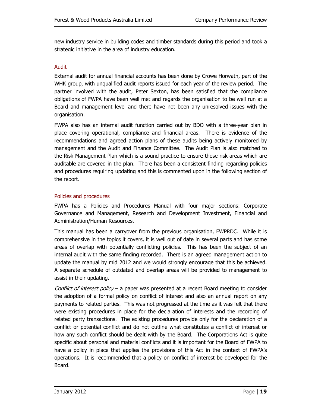new industry service in building codes and timber standards during this period and took a strategic initiative in the area of industry education.

#### Audit

External audit for annual financial accounts has been done by Crowe Horwath, part of the WHK group, with unqualified audit reports issued for each year of the review period. The partner involved with the audit, Peter Sexton, has been satisfied that the compliance obligations of FWPA have been well met and regards the organisation to be well run at a Board and management level and there have not been any unresolved issues with the organisation.

FWPA also has an internal audit function carried out by BDO with a three-year plan in place covering operational, compliance and financial areas. There is evidence of the recommendations and agreed action plans of these audits being actively monitored by management and the Audit and Finance Committee. The Audit Plan is also matched to the Risk Management Plan which is a sound practice to ensure those risk areas which are auditable are covered in the plan. There has been a consistent finding regarding policies and procedures requiring updating and this is commented upon in the following section of the report.

#### Policies and procedures

FWPA has a Policies and Procedures Manual with four major sections: Corporate Governance and Management, Research and Development Investment, Financial and Administration/Human Resources.

This manual has been a carryover from the previous organisation, FWPRDC. While it is comprehensive in the topics it covers, it is well out of date in several parts and has some areas of overlap with potentially conflicting policies. This has been the subject of an internal audit with the same finding recorded. There is an agreed management action to update the manual by mid 2012 and we would strongly encourage that this be achieved. A separate schedule of outdated and overlap areas will be provided to management to assist in their updating.

Conflict of interest policy – a paper was presented at a recent Board meeting to consider the adoption of a formal policy on conflict of interest and also an annual report on any payments to related parties. This was not progressed at the time as it was felt that there were existing procedures in place for the declaration of interests and the recording of related party transactions. The existing procedures provide only for the declaration of a conflict or potential conflict and do not outline what constitutes a conflict of interest or how any such conflict should be dealt with by the Board. The Corporations Act is quite specific about personal and material conflicts and it is important for the Board of FWPA to have a policy in place that applies the provisions of this Act in the context of FWPA's operations. It is recommended that a policy on conflict of interest be developed for the Board.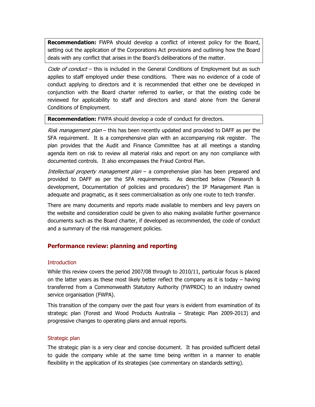**Recommendation:** FWPA should develop a conflict of interest policy for the Board, setting out the application of the Corporations Act provisions and outlining how the Board deals with any conflict that arises in the Board's deliberations of the matter.

Code of conduct – this is included in the General Conditions of Employment but as such applies to staff employed under these conditions. There was no evidence of a code of conduct applying to directors and it is recommended that either one be developed in conjunction with the Board charter referred to earlier, or that the existing code be reviewed for applicability to staff and directors and stand alone from the General Conditions of Employment.

**Recommendation:** FWPA should develop a code of conduct for directors.

Risk management plan – this has been recently updated and provided to DAFF as per the SFA requirement. It is a comprehensive plan with an accompanying risk register. The plan provides that the Audit and Finance Committee has at all meetings a standing agenda item on risk to review all material risks and report on any non compliance with documented controls. It also encompasses the Fraud Control Plan.

*Intellectual property management plan* – a comprehensive plan has been prepared and provided to DAFF as per the SFA requirements. As described below ('Research & development, Documentation of policies and procedures') the IP Management Plan is adequate and pragmatic, as it sees commercialisation as only one route to tech transfer.

There are many documents and reports made available to members and levy payers on the website and consideration could be given to also making available further governance documents such as the Board charter, if developed as recommended, the code of conduct and a summary of the risk management policies.

#### **Performance review: planning and reporting**

#### **Introduction**

While this review covers the period 2007/08 through to 2010/11, particular focus is placed on the latter years as these most likely better reflect the company as it is today – having transferred from a Commonwealth Statutory Authority (FWPRDC) to an industry owned service organisation (FWPA).

This transition of the company over the past four years is evident from examination of its strategic plan (Forest and Wood Products Australia – Strategic Plan 2009-2013) and progressive changes to operating plans and annual reports.

#### Strategic plan

The strategic plan is a very clear and concise document. It has provided sufficient detail to guide the company while at the same time being written in a manner to enable flexibility in the application of its strategies (see commentary on standards setting).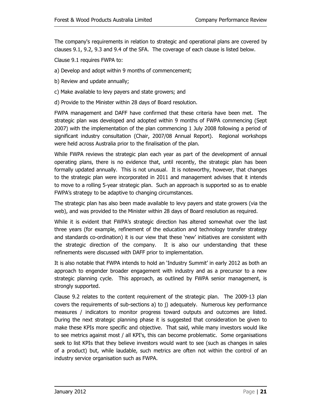The company's requirements in relation to strategic and operational plans are covered by clauses 9.1, 9.2, 9.3 and 9.4 of the SFA. The coverage of each clause is listed below.

Clause 9.1 requires FWPA to:

- a) Develop and adopt within 9 months of commencement;
- b) Review and update annually;
- c) Make available to levy payers and state growers; and
- d) Provide to the Minister within 28 days of Board resolution.

FWPA management and DAFF have confirmed that these criteria have been met. The strategic plan was developed and adopted within 9 months of FWPA commencing (Sept 2007) with the implementation of the plan commencing 1 July 2008 following a period of significant industry consultation (Chair, 2007/08 Annual Report). Regional workshops were held across Australia prior to the finalisation of the plan.

While FWPA reviews the strategic plan each year as part of the development of annual operating plans, there is no evidence that, until recently, the strategic plan has been formally updated annually. This is not unusual. It is noteworthy, however, that changes to the strategic plan were incorporated in 2011 and management advises that it intends to move to a rolling 5-year strategic plan. Such an approach is supported so as to enable FWPA's strategy to be adaptive to changing circumstances.

The strategic plan has also been made available to levy payers and state growers (via the web), and was provided to the Minister within 28 days of Board resolution as required.

While it is evident that FWPA's strategic direction has altered somewhat over the last three years (for example, refinement of the education and technology transfer strategy and standards co-ordination) it is our view that these 'new' initiatives are consistent with the strategic direction of the company. It is also our understanding that these refinements were discussed with DAFF prior to implementation.

It is also notable that FWPA intends to hold an 'Industry Summit' in early 2012 as both an approach to engender broader engagement with industry and as a precursor to a new strategic planning cycle. This approach, as outlined by FWPA senior management, is strongly supported.

Clause 9.2 relates to the content requirement of the strategic plan. The 2009-13 plan covers the requirements of sub-sections a) to j) adequately. Numerous key performance measures / indicators to monitor progress toward outputs and outcomes are listed. During the next strategic planning phase it is suggested that consideration be given to make these KPIs more specific and objective. That said, while many investors would like to see metrics against most / all KPI's, this can become problematic. Some organisations seek to list KPIs that they believe investors would want to see (such as changes in sales of a product) but, while laudable, such metrics are often not within the control of an industry service organisation such as FWPA.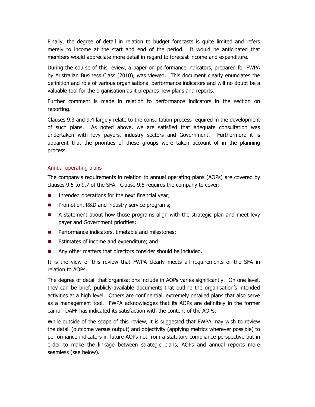Finally, the degree of detail in relation to budget forecasts is quite limited and refers merely to income at the start and end of the period. It would be anticipated that members would appreciate more detail in regard to forecast income and expenditure.

During the course of this review, a paper on performance indicators, prepared for FWPA by Australian Business Class (2010), was viewed. This document clearly enunciates the definition and role of various organisational performance indicators and will no doubt be a valuable tool for the organisation as it prepares new plans and reports.

Further comment is made in relation to performance indicators in the section on reporting.

Clauses 9.3 and 9.4 largely relate to the consultation process required in the development of such plans. As noted above, we are satisfied that adequate consultation was undertaken with levy payers, industry sectors and Government. Furthermore it is apparent that the priorities of these groups were taken account of in the planning process.

#### Annual operating plans

The company's requirements in relation to annual operating plans (AOPs) are covered by clauses 9.5 to 9.7 of the SFA. Clause 9.5 requires the company to cover:

- $\blacksquare$  Intended operations for the next financial year;
- **Promotion, R&D and industry service programs;**
- A statement about how those programs align with the strategic plan and meet levy payer and Government priorities;
- **Performance indicators, timetable and milestones;**
- Estimates of income and expenditure; and
- Any other matters that directors consider should be included.

It is the view of this review that FWPA clearly meets all requirements of the SFA in relation to AOPs.

The degree of detail that organisations include in AOPs varies significantly. On one level, they can be brief, publicly-available documents that outline the organisation's intended activities at a high level. Others are confidential, extremely detailed plans that also serve as a management tool. FWPA acknowledges that its AOPs are definitely in the former camp. DAFF has indicated its satisfaction with the content of the AOPs.

While outside of the scope of this review, it is suggested that FWPA may wish to review the detail (outcome versus output) and objectivity (applying metrics wherever possible) to performance indicators in future AOPs not from a statutory compliance perspective but in order to make the linkage between strategic plans, AOPs and annual reports more seamless (see below).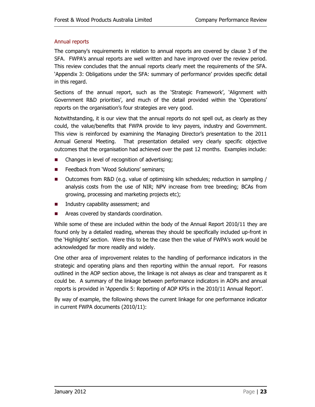#### Annual reports

The company's requirements in relation to annual reports are covered by clause 3 of the SFA. FWPA's annual reports are well written and have improved over the review period. This review concludes that the annual reports clearly meet the requirements of the SFA. 'Appendix 3: Obligations under the SFA: summary of performance' provides specific detail in this regard.

Sections of the annual report, such as the 'Strategic Framework', 'Alignment with Government R&D priorities', and much of the detail provided within the 'Operations' reports on the organisation's four strategies are very good.

Notwithstanding, it is our view that the annual reports do not spell out, as clearly as they could, the value/benefits that FWPA provide to levy payers, industry and Government. This view is reinforced by examining the Managing Director's presentation to the 2011 Annual General Meeting. That presentation detailed very clearly specific objective outcomes that the organisation had achieved over the past 12 months. Examples include:

- Changes in level of recognition of advertising;
- **EXECUTE:** Feedback from 'Wood Solutions' seminars;
- Outcomes from R&D (e.g. value of optimising kiln schedules; reduction in sampling / analysis costs from the use of NIR; NPV increase from tree breeding; BCAs from growing, processing and marketing projects etc);
- **Industry capability assessment; and**
- **EXECUTE:** Areas covered by standards coordination.

While some of these are included within the body of the Annual Report 2010/11 they are found only by a detailed reading, whereas they should be specifically included up-front in the 'Highlights' section. Were this to be the case then the value of FWPA's work would be acknowledged far more readily and widely.

One other area of improvement relates to the handling of performance indicators in the strategic and operating plans and then reporting within the annual report. For reasons outlined in the AOP section above, the linkage is not always as clear and transparent as it could be. A summary of the linkage between performance indicators in AOPs and annual reports is provided in 'Appendix 5: Reporting of AOP KPIs in the 2010/11 Annual Report'.

By way of example, the following shows the current linkage for one performance indicator in current FWPA documents (2010/11):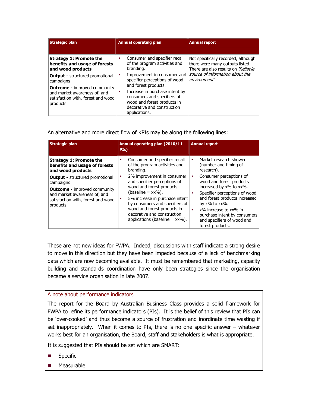| <b>Strategic plan</b>                                                                                                 | <b>Annual operating plan</b>                                                                                                                      | <b>Annual report</b>                                                                                          |  |
|-----------------------------------------------------------------------------------------------------------------------|---------------------------------------------------------------------------------------------------------------------------------------------------|---------------------------------------------------------------------------------------------------------------|--|
|                                                                                                                       |                                                                                                                                                   |                                                                                                               |  |
| <b>Strategy 1: Promote the</b><br>benefits and usage of forests<br>and wood products                                  | Consumer and specifier recall<br>$\bullet$<br>of the program activities and<br>branding.                                                          | Not specifically recorded, although<br>there were many outputs listed.<br>There are also results on 'Reliable |  |
| <b>Output - structured promotional</b><br>campaigns                                                                   | Improvement in consumer and<br>specifier perceptions of wood<br>and forest products.                                                              | source of information about the<br>environment'.                                                              |  |
| <b>Outcome - improved community</b><br>and market awareness of, and<br>satisfaction with, forest and wood<br>products | Increase in purchase intent by<br>٠<br>consumers and specifiers of<br>wood and forest products in<br>decorative and construction<br>applications. |                                                                                                               |  |

An alternative and more direct flow of KPIs may be along the following lines:

| <b>Strategic plan</b>                                                                                                                                                        | Annual operating plan (2010/11<br>PIs)                                                                                                                                                                                                                                                       | <b>Annual report</b>                                                                                                                                                                                                                                                                     |
|------------------------------------------------------------------------------------------------------------------------------------------------------------------------------|----------------------------------------------------------------------------------------------------------------------------------------------------------------------------------------------------------------------------------------------------------------------------------------------|------------------------------------------------------------------------------------------------------------------------------------------------------------------------------------------------------------------------------------------------------------------------------------------|
| <b>Strategy 1: Promote the</b><br>benefits and usage of forests<br>and wood products                                                                                         | Consumer and specifier recall<br>of the program activities and<br>branding.                                                                                                                                                                                                                  | Market research showed<br>٠<br>(number and timing of<br>research).                                                                                                                                                                                                                       |
| <b>Output - structured promotional</b><br>campaigns<br><b>Outcome - improved community</b><br>and market awareness of, and<br>satisfaction with, forest and wood<br>products | 2% improvement in consumer<br>٠<br>and specifier perceptions of<br>wood and forest products<br>$(baseline = xx\%)$ .<br>5% increase in purchase intent<br>by consumers and specifiers of<br>wood and forest products in<br>decorative and construction<br>applications (baseline $= xx\%$ ). | Consumer perceptions of<br>٠<br>wood and forest products<br>increased by x% to xx%.<br>Specifier perceptions of wood<br>and forest products increased<br>by $x\%$ to $xx\%$ .<br>x% increase to xx% in<br>purchase intent by consumers<br>and specifiers of wood and<br>forest products. |

These are not new ideas for FWPA. Indeed, discussions with staff indicate a strong desire to move in this direction but they have been impeded because of a lack of benchmarking data which are now becoming available. It must be remembered that marketing, capacity building and standards coordination have only been strategies since the organisation became a service organisation in late 2007.

#### A note about performance indicators

The report for the Board by Australian Business Class provides a solid framework for FWPA to refine its performance indicators (PIs). It is the belief of this review that PIs can be 'over-cooked' and thus become a source of frustration and inordinate time wasting if set inappropriately. When it comes to PIs, there is no one specific answer – whatever works best for an organisation, the Board, staff and stakeholders is what is appropriate.

It is suggested that PIs should be set which are SMART:

- **Specific**
- **Measurable**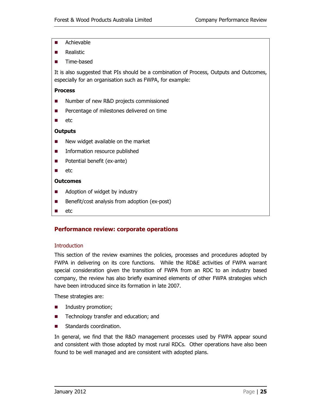- **Achievable**
- **Realistic**
- **Time-based**

It is also suggested that PIs should be a combination of Process, Outputs and Outcomes, especially for an organisation such as FWPA, for example:

#### **Process**

- Number of new R&D projects commissioned
- **Percentage of milestones delivered on time**
- $\blacksquare$  etc

#### **Outputs**

- New widget available on the market
- **Information resource published**
- **Potential benefit (ex-ante)**
- $\blacksquare$  etc

#### **Outcomes**

- Adoption of widget by industry
- Benefit/cost analysis from adoption (ex-post)
- $\blacksquare$  etc

#### **Performance review: corporate operations**

#### **Introduction**

This section of the review examines the policies, processes and procedures adopted by FWPA in delivering on its core functions. While the RD&E activities of FWPA warrant special consideration given the transition of FWPA from an RDC to an industry based company, the review has also briefly examined elements of other FWPA strategies which have been introduced since its formation in late 2007.

These strategies are:

- **Industry promotion;**
- Technology transfer and education; and
- Standards coordination.

In general, we find that the R&D management processes used by FWPA appear sound and consistent with those adopted by most rural RDCs. Other operations have also been found to be well managed and are consistent with adopted plans.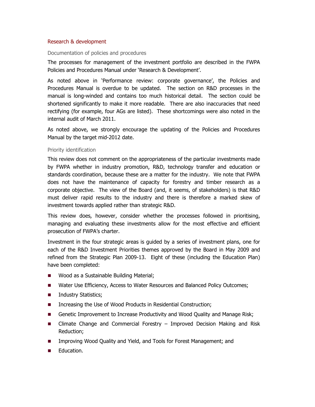#### Research & development

Documentation of policies and procedures

The processes for management of the investment portfolio are described in the FWPA Policies and Procedures Manual under 'Research & Development'.

As noted above in 'Performance review: corporate governance', the Policies and Procedures Manual is overdue to be updated. The section on R&D processes in the manual is long-winded and contains too much historical detail. The section could be shortened significantly to make it more readable. There are also inaccuracies that need rectifying (for example, four AGs are listed). These shortcomings were also noted in the internal audit of March 2011.

As noted above, we strongly encourage the updating of the Policies and Procedures Manual by the target mid-2012 date.

#### Priority identification

This review does not comment on the appropriateness of the particular investments made by FWPA whether in industry promotion, R&D, technology transfer and education or standards coordination, because these are a matter for the industry. We note that FWPA does not have the maintenance of capacity for forestry and timber research as a corporate objective. The view of the Board (and, it seems, of stakeholders) is that R&D must deliver rapid results to the industry and there is therefore a marked skew of investment towards applied rather than strategic R&D.

This review does, however, consider whether the processes followed in prioritising, managing and evaluating these investments allow for the most effective and efficient prosecution of FWPA's charter.

Investment in the four strategic areas is guided by a series of investment plans, one for each of the R&D Investment Priorities themes approved by the Board in May 2009 and refined from the Strategic Plan 2009-13. Eight of these (including the Education Plan) have been completed:

- Wood as a Sustainable Building Material;
- Water Use Efficiency, Access to Water Resources and Balanced Policy Outcomes;
- **Industry Statistics;**
- Increasing the Use of Wood Products in Residential Construction;
- Genetic Improvement to Increase Productivity and Wood Quality and Manage Risk;
- Climate Change and Commercial Forestry Improved Decision Making and Risk Reduction;
- **IMPROVIGHT IMPROVING WOOD QUALITY AND YIELD, and Tools for Forest Management; and**
- **Education.**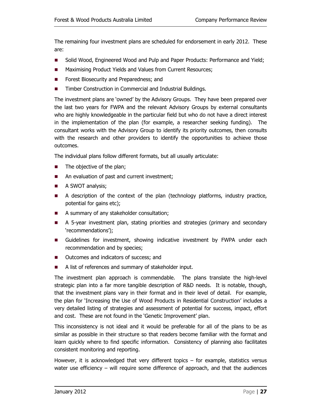The remaining four investment plans are scheduled for endorsement in early 2012. These are:

- Solid Wood, Engineered Wood and Pulp and Paper Products: Performance and Yield;
- **Maximising Product Yields and Values from Current Resources;**
- **Forest Biosecurity and Preparedness; and**
- Timber Construction in Commercial and Industrial Buildings.

The investment plans are 'owned' by the Advisory Groups. They have been prepared over the last two years for FWPA and the relevant Advisory Groups by external consultants who are highly knowledgeable in the particular field but who do not have a direct interest in the implementation of the plan (for example, a researcher seeking funding). The consultant works with the Advisory Group to identify its priority outcomes, then consults with the research and other providers to identify the opportunities to achieve those outcomes.

The individual plans follow different formats, but all usually articulate:

- $\blacksquare$  The objective of the plan;
- An evaluation of past and current investment;
- A SWOT analysis;
- A description of the context of the plan (technology platforms, industry practice, potential for gains etc);
- A summary of any stakeholder consultation;
- A 5-year investment plan, stating priorities and strategies (primary and secondary 'recommendations');
- Guidelines for investment, showing indicative investment by FWPA under each recommendation and by species;
- **Dutcomes and indicators of success; and**
- A list of references and summary of stakeholder input.

The investment plan approach is commendable. The plans translate the high-level strategic plan into a far more tangible description of R&D needs. It is notable, though, that the investment plans vary in their format and in their level of detail. For example, the plan for 'Increasing the Use of Wood Products in Residential Construction' includes a very detailed listing of strategies and assessment of potential for success, impact, effort and cost. These are not found in the 'Genetic Improvement' plan.

This inconsistency is not ideal and it would be preferable for all of the plans to be as similar as possible in their structure so that readers become familiar with the format and learn quickly where to find specific information. Consistency of planning also facilitates consistent monitoring and reporting.

However, it is acknowledged that very different topics – for example, statistics versus water use efficiency – will require some difference of approach, and that the audiences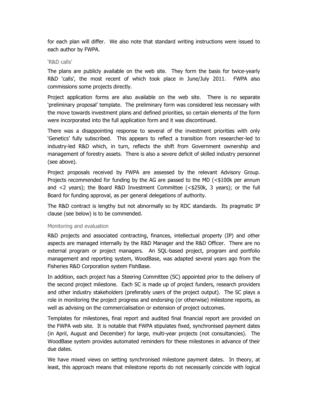for each plan will differ. We also note that standard writing instructions were issued to each author by FWPA.

#### 'R&D calls'

The plans are publicly available on the web site. They form the basis for twice-yearly R&D 'calls', the most recent of which took place in June/July 2011. FWPA also commissions some projects directly.

Project application forms are also available on the web site. There is no separate 'preliminary proposal' template. The preliminary form was considered less necessary with the move towards investment plans and defined priorities, so certain elements of the form were incorporated into the full application form and it was discontinued.

There was a disappointing response to several of the investment priorities with only 'Genetics' fully subscribed. This appears to reflect a transition from researcher-led to industry-led R&D which, in turn, reflects the shift from Government ownership and management of forestry assets. There is also a severe deficit of skilled industry personnel (see above).

Project proposals received by FWPA are assessed by the relevant Advisory Group. Projects recommended for funding by the AG are passed to the MD (<\$100k per annum and <2 years); the Board R&D Investment Committee (<\$250k, 3 years); or the full Board for funding approval, as per general delegations of authority.

The R&D contract is lengthy but not abnormally so by RDC standards. Its pragmatic IP clause (see below) is to be commended.

#### Monitoring and evaluation

R&D projects and associated contracting, finances, intellectual property (IP) and other aspects are managed internally by the R&D Manager and the R&D Officer. There are no external program or project managers. An SQL-based project, program and portfolio management and reporting system, WoodBase, was adapted several years ago from the Fisheries R&D Corporation system FishBase.

In addition, each project has a Steering Committee (SC) appointed prior to the delivery of the second project milestone. Each SC is made up of project funders, research providers and other industry stakeholders (preferably users of the project output). The SC plays a role in monitoring the project progress and endorsing (or otherwise) milestone reports, as well as advising on the commercialisation or extension of project outcomes.

Templates for milestones, final report and audited final financial report are provided on the FWPA web site. It is notable that FWPA stipulates fixed, synchronised payment dates (in April, August and December) for large, multi-year projects (not consultancies). The WoodBase system provides automated reminders for these milestones in advance of their due dates.

We have mixed views on setting synchronised milestone payment dates. In theory, at least, this approach means that milestone reports do not necessarily coincide with logical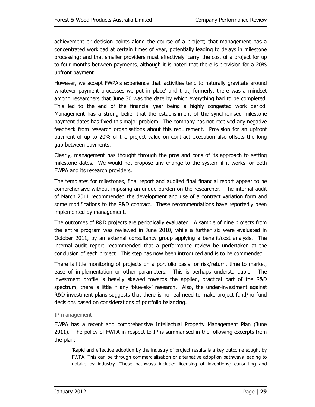achievement or decision points along the course of a project; that management has a concentrated workload at certain times of year, potentially leading to delays in milestone processing; and that smaller providers must effectively 'carry' the cost of a project for up to four months between payments, although it is noted that there is provision for a 20% upfront payment.

However, we accept FWPA's experience that 'activities tend to naturally gravitate around whatever payment processes we put in place' and that, formerly, there was a mindset among researchers that June 30 was the date by which everything had to be completed. This led to the end of the financial year being a highly congested work period. Management has a strong belief that the establishment of the synchronised milestone payment dates has fixed this major problem. The company has not received any negative feedback from research organisations about this requirement. Provision for an upfront payment of up to 20% of the project value on contract execution also offsets the long gap between payments.

Clearly, management has thought through the pros and cons of its approach to setting milestone dates. We would not propose any change to the system if it works for both FWPA and its research providers.

The templates for milestones, final report and audited final financial report appear to be comprehensive without imposing an undue burden on the researcher. The internal audit of March 2011 recommended the development and use of a contract variation form and some modifications to the R&D contract. These recommendations have reportedly been implemented by management.

The outcomes of R&D projects are periodically evaluated. A sample of nine projects from the entire program was reviewed in June 2010, while a further six were evaluated in October 2011, by an external consultancy group applying a benefit/cost analysis. The internal audit report recommended that a performance review be undertaken at the conclusion of each project. This step has now been introduced and is to be commended.

There is little monitoring of projects on a portfolio basis for risk/return, time to market, ease of implementation or other parameters. This is perhaps understandable. The investment profile is heavily skewed towards the applied, practical part of the R&D spectrum; there is little if any 'blue-sky' research. Also, the under-investment against R&D investment plans suggests that there is no real need to make project fund/no fund decisions based on considerations of portfolio balancing.

#### IP management

FWPA has a recent and comprehensive Intellectual Property Management Plan (June 2011). The policy of FWPA in respect to IP is summarised in the following excerpts from the plan:

'Rapid and effective adoption by the industry of project results is a key outcome sought by FWPA. This can be through commercialisation or alternative adoption pathways leading to uptake by industry. These pathways include: licensing of inventions; consulting and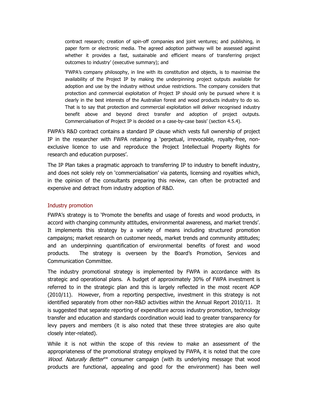contract research; creation of spin-off companies and joint ventures; and publishing, in paper form or electronic media. The agreed adoption pathway will be assessed against whether it provides a fast, sustainable and efficient means of transferring project outcomes to industry' (executive summary); and

'FWPA's company philosophy, in line with its constitution and objects, is to maximise the availability of the Project IP by making the underpinning project outputs available for adoption and use by the industry without undue restrictions. The company considers that protection and commercial exploitation of Project IP should only be pursued where it is clearly in the best interests of the Australian forest and wood products industry to do so. That is to say that protection and commercial exploitation will deliver recognised industry benefit above and beyond direct transfer and adoption of project outputs. Commercialisation of Project IP is decided on a case-by-case basis' (section 4.5.4).

FWPA's R&D contract contains a standard IP clause which vests full ownership of project IP in the researcher with FWPA retaining a 'perpetual, irrevocable, royalty-free, nonexclusive licence to use and reproduce the Project Intellectual Property Rights for research and education purposes'.

The IP Plan takes a pragmatic approach to transferring IP to industry to benefit industry, and does not solely rely on 'commercialisation' via patents, licensing and royalties which, in the opinion of the consultants preparing this review, can often be protracted and expensive and detract from industry adoption of R&D.

#### Industry promotion

FWPA's strategy is to 'Promote the benefits and usage of forests and wood products, in accord with changing community attitudes, environmental awareness, and market trends'. It implements this strategy by a variety of means including structured promotion campaigns; market research on customer needs, market trends and community attitudes; and an underpinning quantification of environmental benefits of forest and wood products. The strategy is overseen by the Board's Promotion, Services and Communication Committee.

The industry promotional strategy is implemented by FWPA in accordance with its strategic and operational plans. A budget of approximately 30% of FWPA investment is referred to in the strategic plan and this is largely reflected in the most recent AOP (2010/11). However, from a reporting perspective, investment in this strategy is not identified separately from other non-R&D activities within the Annual Report 2010/11. It is suggested that separate reporting of expenditure across industry promotion, technology transfer and education and standards coordination would lead to greater transparency for levy payers and members (it is also noted that these three strategies are also quite closely inter-related).

While it is not within the scope of this review to make an assessment of the appropriateness of the promotional strategy employed by FWPA, it is noted that the core Wood. Naturally Better<sup>™</sup> consumer campaign (with its underlying message that wood products are functional, appealing and good for the environment) has been well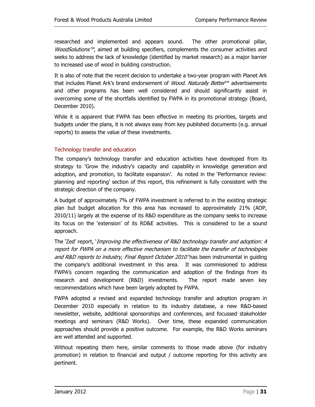researched and implemented and appears sound. The other promotional pillar, *WoodSolutions™*, aimed at building specifiers, complements the consumer activities and seeks to address the lack of knowledge (identified by market research) as a major barrier to increased use of wood in building construction.

It is also of note that the recent decision to undertake a two-year program with Planet Ark that includes Planet Ark's brand endorsement of *Wood. Naturally Better*™ advertisements and other programs has been well considered and should significantly assist in overcoming some of the shortfalls identified by FWPA in its promotional strategy (Board, December 2010).

While it is apparent that FWPA has been effective in meeting its priorities, targets and budgets under the plans, it is not always easy from key published documents (e.g. annual reports) to assess the value of these investments.

#### Technology transfer and education

The company's technology transfer and education activities have developed from its strategy to 'Grow the industry's capacity and capability in knowledge generation and adoption, and promotion, to facilitate expansion'. As noted in the 'Performance review: planning and reporting' section of this report, this refinement is fully consistent with the strategic direction of the company.

A budget of approximately 7% of FWPA investment is referred to in the existing strategic plan but budget allocation for this area has increased to approximately 21% (AOP, 2010/11) largely at the expense of its R&D expenditure as the company seeks to increase its focus on the 'extension' of its RD&E activities. This is considered to be a sound approach.

The 'Zed' report, '*Improving the effectiveness of R&D technology transfer and adoption: A* report for FWPA on a more effective mechanism to facilitate the transfer of technologies and R&D reports to industry, Final Report October 2010'has been instrumental in guiding the company's additional investment in this area. It was commissioned to address FWPA's concern regarding the communication and adoption of the findings from its research and development (R&D) investments. The report made seven key recommendations which have been largely adopted by FWPA.

FWPA adopted a revised and expanded technology transfer and adoption program in December 2010 especially in relation to its industry database, a new R&D-based newsletter, website, additional sponsorships and conferences, and focussed stakeholder meetings and seminars (R&D Works). Over time, these expanded communication approaches should provide a positive outcome. For example, the R&D Works seminars are well attended and supported.

Without repeating them here, similar comments to those made above (for industry promotion) in relation to financial and output / outcome reporting for this activity are pertinent.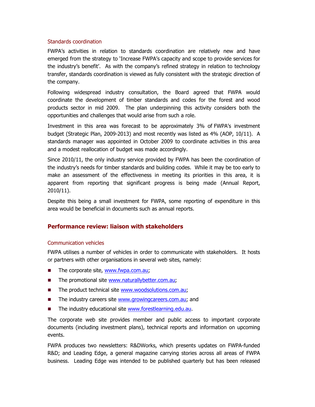#### Standards coordination

FWPA's activities in relation to standards coordination are relatively new and have emerged from the strategy to 'Increase FWPA's capacity and scope to provide services for the industry's benefit'. As with the company's refined strategy in relation to technology transfer, standards coordination is viewed as fully consistent with the strategic direction of the company.

Following widespread industry consultation, the Board agreed that FWPA would coordinate the development of timber standards and codes for the forest and wood products sector in mid 2009. The plan underpinning this activity considers both the opportunities and challenges that would arise from such a role.

Investment in this area was forecast to be approximately 3% of FWPA's investment budget (Strategic Plan, 2009-2013) and most recently was listed as 4% (AOP, 10/11). A standards manager was appointed in October 2009 to coordinate activities in this area and a modest reallocation of budget was made accordingly.

Since 2010/11, the only industry service provided by FWPA has been the coordination of the industry's needs for timber standards and building codes. While it may be too early to make an assessment of the effectiveness in meeting its priorities in this area, it is apparent from reporting that significant progress is being made (Annual Report, 2010/11).

Despite this being a small investment for FWPA, some reporting of expenditure in this area would be beneficial in documents such as annual reports.

#### **Performance review: liaison with stakeholders**

#### Communication vehicles

FWPA utilises a number of vehicles in order to communicate with stakeholders. It hosts or partners with other organisations in several web sites, namely:

- $\blacksquare$  The corporate site, www.fwpa.com.au;
- The promotional site www.naturallybetter.com.au;
- The product technical site www.woodsolutions.com.au;
- The industry careers site www.growingcareers.com.au; and
- The industry educational site www.forestlearning.edu.au.

The corporate web site provides member and public access to important corporate documents (including investment plans), technical reports and information on upcoming events.

FWPA produces two newsletters: R&DWorks, which presents updates on FWPA-funded R&D; and Leading Edge, a general magazine carrying stories across all areas of FWPA business. Leading Edge was intended to be published quarterly but has been released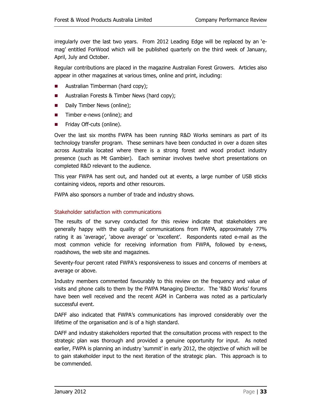irregularly over the last two years. From 2012 Leading Edge will be replaced by an 'emag' entitled ForWood which will be published quarterly on the third week of January, April, July and October.

Regular contributions are placed in the magazine Australian Forest Growers. Articles also appear in other magazines at various times, online and print, including:

- **Australian Timberman (hard copy);**
- Australian Forests & Timber News (hard copy);
- **Daily Timber News (online);**
- Timber e-news (online); and
- Friday Off-cuts (online).

Over the last six months FWPA has been running R&D Works seminars as part of its technology transfer program. These seminars have been conducted in over a dozen sites across Australia located where there is a strong forest and wood product industry presence (such as Mt Gambier). Each seminar involves twelve short presentations on completed R&D relevant to the audience.

This year FWPA has sent out, and handed out at events, a large number of USB sticks containing videos, reports and other resources.

FWPA also sponsors a number of trade and industry shows.

#### Stakeholder satisfaction with communications

The results of the survey conducted for this review indicate that stakeholders are generally happy with the quality of communications from FWPA, approximately 77% rating it as 'average', 'above average' or 'excellent'. Respondents rated e-mail as the most common vehicle for receiving information from FWPA, followed by e-news, roadshows, the web site and magazines.

Seventy-four percent rated FWPA's responsiveness to issues and concerns of members at average or above.

Industry members commented favourably to this review on the frequency and value of visits and phone calls to them by the FWPA Managing Director. The 'R&D Works' forums have been well received and the recent AGM in Canberra was noted as a particularly successful event.

DAFF also indicated that FWPA's communications has improved considerably over the lifetime of the organisation and is of a high standard.

DAFF and industry stakeholders reported that the consultation process with respect to the strategic plan was thorough and provided a genuine opportunity for input. As noted earlier, FWPA is planning an industry 'summit' in early 2012, the objective of which will be to gain stakeholder input to the next iteration of the strategic plan. This approach is to be commended.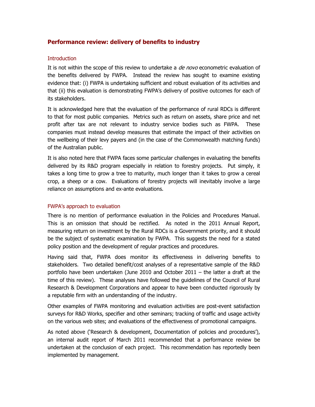#### **Performance review: delivery of benefits to industry**

#### **Introduction**

It is not within the scope of this review to undertake a *de novo* econometric evaluation of the benefits delivered by FWPA. Instead the review has sought to examine existing evidence that: (i) FWPA is undertaking sufficient and robust evaluation of its activities and that (ii) this evaluation is demonstrating FWPA's delivery of positive outcomes for each of its stakeholders.

It is acknowledged here that the evaluation of the performance of rural RDCs is different to that for most public companies. Metrics such as return on assets, share price and net profit after tax are not relevant to industry service bodies such as FWPA. These companies must instead develop measures that estimate the impact of their activities on the wellbeing of their levy payers and (in the case of the Commonwealth matching funds) of the Australian public.

It is also noted here that FWPA faces some particular challenges in evaluating the benefits delivered by its R&D program especially in relation to forestry projects. Put simply, it takes a long time to grow a tree to maturity, much longer than it takes to grow a cereal crop, a sheep or a cow. Evaluations of forestry projects will inevitably involve a large reliance on assumptions and ex-ante evaluations.

#### FWPA's approach to evaluation

There is no mention of performance evaluation in the Policies and Procedures Manual. This is an omission that should be rectified. As noted in the 2011 Annual Report, measuring return on investment by the Rural RDCs is a Government priority, and it should be the subject of systematic examination by FWPA. This suggests the need for a stated policy position and the development of regular practices and procedures.

Having said that, FWPA does monitor its effectiveness in delivering benefits to stakeholders. Two detailed benefit/cost analyses of a representative sample of the R&D portfolio have been undertaken (June 2010 and October 2011 – the latter a draft at the time of this review). These analyses have followed the guidelines of the Council of Rural Research & Development Corporations and appear to have been conducted rigorously by a reputable firm with an understanding of the industry.

Other examples of FWPA monitoring and evaluation activities are post-event satisfaction surveys for R&D Works, specifier and other seminars; tracking of traffic and usage activity on the various web sites; and evaluations of the effectiveness of promotional campaigns.

As noted above ('Research & development, Documentation of policies and procedures'), an internal audit report of March 2011 recommended that a performance review be undertaken at the conclusion of each project. This recommendation has reportedly been implemented by management.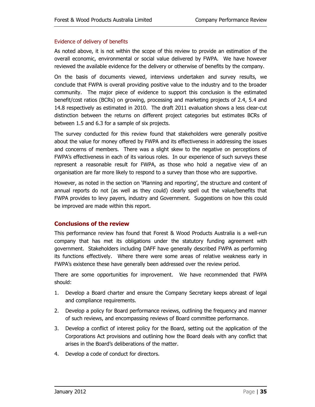#### Evidence of delivery of benefits

As noted above, it is not within the scope of this review to provide an estimation of the overall economic, environmental or social value delivered by FWPA. We have however reviewed the available evidence for the delivery or otherwise of benefits by the company.

On the basis of documents viewed, interviews undertaken and survey results, we conclude that FWPA is overall providing positive value to the industry and to the broader community. The major piece of evidence to support this conclusion is the estimated benefit/cost ratios (BCRs) on growing, processing and marketing projects of 2.4, 5.4 and 14.8 respectively as estimated in 2010. The draft 2011 evaluation shows a less clear-cut distinction between the returns on different project categories but estimates BCRs of between 1.5 and 6.3 for a sample of six projects.

The survey conducted for this review found that stakeholders were generally positive about the value for money offered by FWPA and its effectiveness in addressing the issues and concerns of members. There was a slight skew to the negative on perceptions of FWPA's effectiveness in each of its various roles. In our experience of such surveys these represent a reasonable result for FWPA, as those who hold a negative view of an organisation are far more likely to respond to a survey than those who are supportive.

However, as noted in the section on 'Planning and reporting', the structure and content of annual reports do not (as well as they could) clearly spell out the value/benefits that FWPA provides to levy payers, industry and Government. Suggestions on how this could be improved are made within this report.

#### **Conclusions of the review**

This performance review has found that Forest & Wood Products Australia is a well-run company that has met its obligations under the statutory funding agreement with government. Stakeholders including DAFF have generally described FWPA as performing its functions effectively. Where there were some areas of relative weakness early in FWPA's existence these have generally been addressed over the review period.

There are some opportunities for improvement. We have recommended that FWPA should:

- 1. Develop a Board charter and ensure the Company Secretary keeps abreast of legal and compliance requirements.
- 2. Develop a policy for Board performance reviews, outlining the frequency and manner of such reviews, and encompassing reviews of Board committee performance.
- 3. Develop a conflict of interest policy for the Board, setting out the application of the Corporations Act provisions and outlining how the Board deals with any conflict that arises in the Board's deliberations of the matter.
- 4. Develop a code of conduct for directors.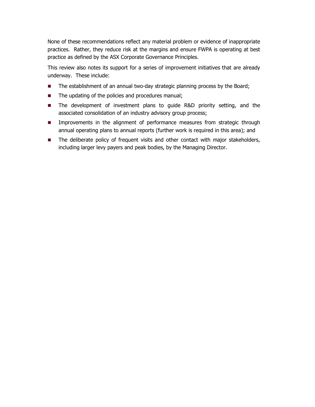None of these recommendations reflect any material problem or evidence of inappropriate practices. Rather, they reduce risk at the margins and ensure FWPA is operating at best practice as defined by the ASX Corporate Governance Principles.

This review also notes its support for a series of improvement initiatives that are already underway. These include:

- The establishment of an annual two-day strategic planning process by the Board;
- The updating of the policies and procedures manual;
- The development of investment plans to quide R&D priority setting, and the associated consolidation of an industry advisory group process;
- **IMPROVEMENTS** In the alignment of performance measures from strategic through annual operating plans to annual reports (further work is required in this area); and
- **The deliberate policy of frequent visits and other contact with major stakeholders,** including larger levy payers and peak bodies, by the Managing Director.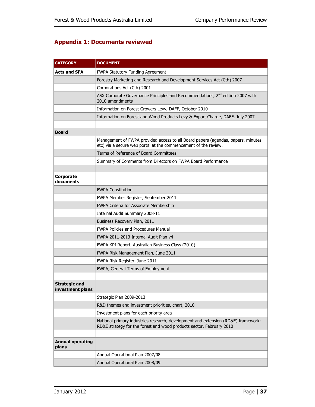#### **Appendix 1: Documents reviewed**

| <b>CATEGORY</b>                          | <b>DOCUMENT</b>                                                                                                                                           |  |  |  |
|------------------------------------------|-----------------------------------------------------------------------------------------------------------------------------------------------------------|--|--|--|
| Acts and SFA                             | FWPA Statutory Funding Agreement                                                                                                                          |  |  |  |
|                                          | Forestry Marketing and Research and Development Services Act (Cth) 2007                                                                                   |  |  |  |
|                                          | Corporations Act (Cth) 2001                                                                                                                               |  |  |  |
|                                          | ASX Corporate Governance Principles and Recommendations, 2 <sup>nd</sup> edition 2007 with<br>2010 amendments                                             |  |  |  |
|                                          | Information on Forest Growers Levy, DAFF, October 2010                                                                                                    |  |  |  |
|                                          | Information on Forest and Wood Products Levy & Export Charge, DAFF, July 2007                                                                             |  |  |  |
|                                          |                                                                                                                                                           |  |  |  |
| <b>Board</b>                             |                                                                                                                                                           |  |  |  |
|                                          | Management of FWPA provided access to all Board papers (agendas, papers, minutes<br>etc) via a secure web portal at the commencement of the review.       |  |  |  |
|                                          | Terms of Reference of Board Committees                                                                                                                    |  |  |  |
|                                          | Summary of Comments from Directors on FWPA Board Performance                                                                                              |  |  |  |
|                                          |                                                                                                                                                           |  |  |  |
| Corporate<br>documents                   |                                                                                                                                                           |  |  |  |
|                                          | <b>FWPA Constitution</b>                                                                                                                                  |  |  |  |
|                                          | FWPA Member Register, September 2011                                                                                                                      |  |  |  |
|                                          | FWPA Criteria for Associate Membership                                                                                                                    |  |  |  |
|                                          | Internal Audit Summary 2008-11                                                                                                                            |  |  |  |
|                                          | Business Recovery Plan, 2011                                                                                                                              |  |  |  |
|                                          | <b>FWPA Policies and Procedures Manual</b>                                                                                                                |  |  |  |
|                                          | FWPA 2011-2013 Internal Audit Plan v4                                                                                                                     |  |  |  |
|                                          | FWPA KPI Report, Australian Business Class (2010)                                                                                                         |  |  |  |
|                                          | FWPA Risk Management Plan, June 2011                                                                                                                      |  |  |  |
|                                          | FWPA Risk Register, June 2011                                                                                                                             |  |  |  |
|                                          | FWPA, General Terms of Employment                                                                                                                         |  |  |  |
|                                          |                                                                                                                                                           |  |  |  |
| <b>Strategic and</b><br>investment plans |                                                                                                                                                           |  |  |  |
|                                          | Strategic Plan 2009-2013                                                                                                                                  |  |  |  |
|                                          | R&D themes and investment priorities, chart, 2010                                                                                                         |  |  |  |
|                                          | Investment plans for each priority area                                                                                                                   |  |  |  |
|                                          | National primary industries research, development and extension (RD&E) framework:<br>RD&E strategy for the forest and wood products sector, February 2010 |  |  |  |
|                                          |                                                                                                                                                           |  |  |  |
| <b>Annual operating</b><br>plans         |                                                                                                                                                           |  |  |  |
|                                          | Annual Operational Plan 2007/08                                                                                                                           |  |  |  |
|                                          | Annual Operational Plan 2008/09                                                                                                                           |  |  |  |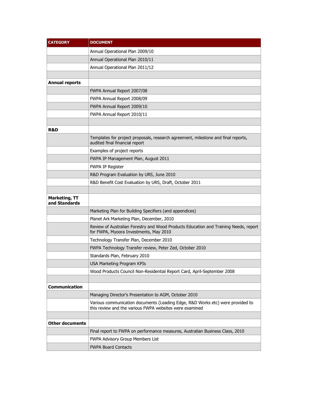| <b>CATEGORY</b>                       | <b>DOCUMENT</b>                                                                                                                           |
|---------------------------------------|-------------------------------------------------------------------------------------------------------------------------------------------|
|                                       | Annual Operational Plan 2009/10                                                                                                           |
|                                       | Annual Operational Plan 2010/11                                                                                                           |
|                                       | Annual Operational Plan 2011/12                                                                                                           |
|                                       |                                                                                                                                           |
| <b>Annual reports</b>                 |                                                                                                                                           |
|                                       | FWPA Annual Report 2007/08                                                                                                                |
|                                       | FWPA Annual Report 2008/09                                                                                                                |
|                                       | FWPA Annual Report 2009/10                                                                                                                |
|                                       | FWPA Annual Report 2010/11                                                                                                                |
|                                       |                                                                                                                                           |
| <b>R&amp;D</b>                        |                                                                                                                                           |
|                                       | Templates for project proposals, research agreement, milestone and final reports,<br>audited final financial report                       |
|                                       | Examples of project reports                                                                                                               |
|                                       | FWPA IP Management Plan, August 2011                                                                                                      |
|                                       | <b>FWPA IP Register</b>                                                                                                                   |
|                                       | R&D Program Evaluation by URS, June 2010                                                                                                  |
|                                       | R&D Benefit Cost Evaluation by URS, Draft, October 2011                                                                                   |
|                                       |                                                                                                                                           |
| <b>Marketing, TT</b><br>and Standards |                                                                                                                                           |
|                                       | Marketing Plan for Building Specifiers (and appendices)                                                                                   |
|                                       | Planet Ark Marketing Plan, December, 2010                                                                                                 |
|                                       | Review of Australian Forestry and Wood Products Education and Training Needs, report<br>for FWPA, Myoora Investments, May 2010            |
|                                       | Technology Transfer Plan, December 2010                                                                                                   |
|                                       | FWPA Technology Transfer review, Peter Zed, October 2010                                                                                  |
|                                       | Standards Plan, February 2010                                                                                                             |
|                                       | <b>USA Marketing Program KPIs</b>                                                                                                         |
|                                       | Wood Products Council Non-Residential Report Card, April-September 2008                                                                   |
|                                       |                                                                                                                                           |
| Communication                         |                                                                                                                                           |
|                                       | Managing Director's Presentation to AGM, October 2010                                                                                     |
|                                       | Various communication documents (Leading Edge, R&D Works etc) were provided to<br>this review and the various FWPA websites were examined |
|                                       |                                                                                                                                           |
| <b>Other documents</b>                |                                                                                                                                           |
|                                       | Final report to FWPA on performance measures, Australian Business Class, 2010                                                             |
|                                       | FWPA Advisory Group Members List                                                                                                          |
|                                       | <b>FWPA Board Contacts</b>                                                                                                                |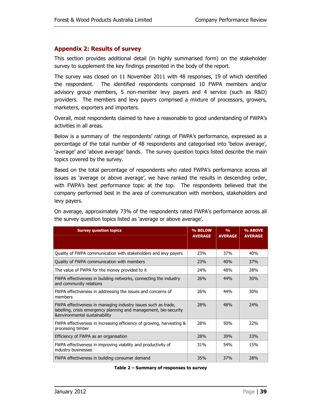#### **Appendix 2: Results of survey**

This section provides additional detail (in highly summarised form) on the stakeholder survey to supplement the key findings presented in the body of the report.

The survey was closed on 11 November 2011 with 48 responses, 19 of which identified the respondent. The identified respondents comprised 10 FWPA members and/or advisory group members, 5 non-member levy payers and 4 service (such as R&D) providers. The members and levy payers comprised a mixture of processors, growers, marketers, exporters and importers.

Overall, most respondents claimed to have a reasonable to good understanding of FWPA's activities in all areas.

Below is a summary of the respondents' ratings of FWPA's performance, expressed as a percentage of the total number of 48 respondents and categorised into 'below average', 'average' and 'above average' bands. The survey question topics listed describe the main topics covered by the survey.

Based on the total percentage of respondents who rated FWPA's performance across all issues as 'average or above average', we have ranked the results in descending order, with FWPA's best performance topic at the top. The respondents believed that the company performed best in the area of communication with members, stakeholders and levy payers.

On average, approximately 73% of the respondents rated FWPA's performance across all the survey question topics listed as 'average or above average'.

| <b>Survey question topics</b>                                                                                                                                       | % BELOW<br><b>AVERAGE</b> | $\frac{0}{0}$<br><b>AVERAGE</b> | % ABOVE<br><b>AVERAGE</b> |
|---------------------------------------------------------------------------------------------------------------------------------------------------------------------|---------------------------|---------------------------------|---------------------------|
|                                                                                                                                                                     |                           |                                 |                           |
| Quality of FWPA communication with stakeholders and levy payers                                                                                                     | 23%                       | 37%                             | 40%                       |
| Quality of FWPA communication with members                                                                                                                          | 23%                       | 40%                             | 37%                       |
| The value of FWPA for the money provided to it                                                                                                                      | 24 <sub>%</sub>           | 48%                             | 28%                       |
| FWPA effectiveness in building networks, connecting the industry<br>and community relations                                                                         | 26%                       | 44%                             | 30%                       |
| FWPA effectiveness in addressing the issues and concerns of<br>members                                                                                              | 26%                       | 44%                             | 30%                       |
| FWPA effectiveness in managing industry issues such as trade,<br>labelling, crisis emergency planning and management, bio-security<br>&environmental sustainability | 28%                       | 48%                             | 24%                       |
| FWPA effectiveness in increasing efficiency of growing, harvesting &<br>processing timber                                                                           | 28%                       | 50%                             | 22%                       |
| Efficiency of FWPA as an organisation                                                                                                                               | <b>28%</b>                | 39%                             | 33%                       |
| FWPA effectiveness in improving viability and productivity of<br>industry businesses                                                                                | 31%                       | 54 <sub>%</sub>                 | 15%                       |
| FWPA effectiveness in building consumer demand                                                                                                                      | 35%                       | 37 <sub>%</sub>                 | 28%                       |

**Table 2 – Summary of responses to survey**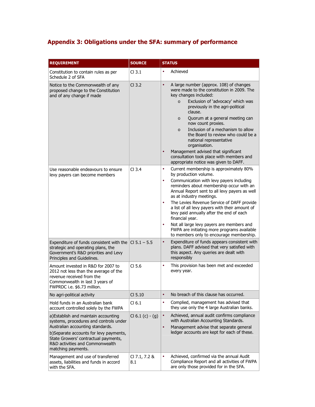# **Appendix 3: Obligations under the SFA: summary of performance**

| <b>REQUIREMENT</b>                                                                                                                                                                                                                                           | <b>SOURCE</b>        | <b>STATUS</b>                                                                                                                                                                                                                                                                                                                                                                                                                                                                                                                                                                                    |  |  |  |
|--------------------------------------------------------------------------------------------------------------------------------------------------------------------------------------------------------------------------------------------------------------|----------------------|--------------------------------------------------------------------------------------------------------------------------------------------------------------------------------------------------------------------------------------------------------------------------------------------------------------------------------------------------------------------------------------------------------------------------------------------------------------------------------------------------------------------------------------------------------------------------------------------------|--|--|--|
| Constitution to contain rules as per<br>Schedule 2 of SFA                                                                                                                                                                                                    | Cl <sub>3.1</sub>    | Achieved<br>$\bullet$                                                                                                                                                                                                                                                                                                                                                                                                                                                                                                                                                                            |  |  |  |
| Notice to the Commonwealth of any<br>proposed change to the Constitution<br>and of any change if made                                                                                                                                                        | $Cl$ 3.2             | A large number (approx. 108) of changes<br>$\bullet$<br>were made to the constitution in 2009. The<br>key changes included:<br>Exclusion of 'advocacy' which was<br>$\circ$<br>previously in the agri-political<br>clause.<br>Quorum at a general meeting can<br>$\circ$<br>now count proxies.<br>Inclusion of a mechanism to allow<br>$\circ$<br>the Board to review who could be a<br>national representative<br>organisation.<br>Management advised that significant<br>$\bullet$<br>consultation took place with members and<br>appropriate notice was given to DAFF.                        |  |  |  |
| Use reasonable endeavours to ensure<br>levy payers can become members                                                                                                                                                                                        | Cl <sub>3.4</sub>    | Current membership is approximately 80%<br>$\bullet$<br>by production volume.<br>Communication with levy payers including<br>$\bullet$<br>reminders about membership occur with an<br>Annual Report sent to all levy payers as well<br>as at industry meetings.<br>The Levies Revenue Service of DAFF provide<br>$\bullet$<br>a list of all levy payers with their amount of<br>levy paid annually after the end of each<br>financial year.<br>Not all large levy payers are members and<br>$\bullet$<br>FWPA are initiating more programs available<br>to members only to encourage membership. |  |  |  |
| Expenditure of funds consistent with the $ C $ 5.1 - 5.5<br>strategic and operating plans, the<br>Government's R&D priorities and Levy<br>Principles and Guidelines.                                                                                         |                      | Expenditure of funds appears consistent with<br>$\bullet$<br>plans. DAFF advised that very satisfied with<br>this aspect. Any queries are dealt with<br>responsibly                                                                                                                                                                                                                                                                                                                                                                                                                              |  |  |  |
| Amount invested in R&D for 2007 to<br>2012 not less than the average of the<br>revenue received from the<br>Commonwealth in last 3 years of<br>FWPRDC i.e. \$6.73 million.                                                                                   | CI <sub>5.6</sub>    | This provision has been met and exceeded<br>$\bullet$<br>every year.                                                                                                                                                                                                                                                                                                                                                                                                                                                                                                                             |  |  |  |
| No agri-political activity                                                                                                                                                                                                                                   | CI 5.10              | No breach of this clause has occurred.<br>$\bullet$                                                                                                                                                                                                                                                                                                                                                                                                                                                                                                                                              |  |  |  |
| Hold funds in an Australian bank<br>account controlled solely by the FWPA                                                                                                                                                                                    | Cl <sub>6.1</sub>    | Complied, management has advised that<br>٠<br>they use only the 4 large Australian banks.                                                                                                                                                                                                                                                                                                                                                                                                                                                                                                        |  |  |  |
| a)Establish and maintain accounting<br>systems, procedures and controls under<br>Australian accounting standards.<br>b)Separate accounts for levy payments,<br>State Growers' contractual payments,<br>R&D activities and Commonwealth<br>matching payments. | Cl $6.1$ (c) - (g)   | Achieved, annual audit confirms compliance<br>with Australian Accounting Standards.<br>Management advise that separate general<br>$\bullet$<br>ledger accounts are kept for each of these.                                                                                                                                                                                                                                                                                                                                                                                                       |  |  |  |
| Management and use of transferred<br>assets, liabilities and funds in accord<br>with the SFA.                                                                                                                                                                | CI 7.1, 7.2 &<br>8.1 | Achieved, confirmed via the annual Audit<br>$\bullet$<br>Compliance Report and all activities of FWPA<br>are only those provided for in the SFA.                                                                                                                                                                                                                                                                                                                                                                                                                                                 |  |  |  |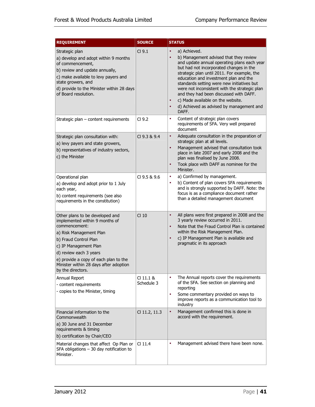| <b>REQUIREMENT</b>                                                                                                                                                                                                                                                                                | <b>SOURCE</b>           | <b>STATUS</b>                                                                                                                                                                                                                                                                                                                                                                                                                                                                                                                   |
|---------------------------------------------------------------------------------------------------------------------------------------------------------------------------------------------------------------------------------------------------------------------------------------------------|-------------------------|---------------------------------------------------------------------------------------------------------------------------------------------------------------------------------------------------------------------------------------------------------------------------------------------------------------------------------------------------------------------------------------------------------------------------------------------------------------------------------------------------------------------------------|
| Strategic plan<br>a) develop and adopt within 9 months<br>of commencement,<br>b) review and update annually,<br>c) make available to levy payers and<br>state growers, and<br>d) provide to the Minister within 28 days<br>of Board resolution.                                                   | CI 9.1                  | a) Achieved.<br>$\bullet$<br>b) Management advised that they review<br>$\bullet$<br>and update annual operating plans each year<br>but had not incorporated changes in the<br>strategic plan until 2011. For example, the<br>education and investment plan and the<br>standards setting were new initiatives but<br>were not inconsistent with the strategic plan<br>and they had been discussed with DAFF.<br>c) Made available on the website.<br>$\bullet$<br>d) Achieved as advised by management and<br>$\bullet$<br>DAFF. |
| Strategic plan – content requirements                                                                                                                                                                                                                                                             | Cl <sub>9.2</sub>       | Content of strategic plan covers<br>$\bullet$<br>requirements of SFA. Very well prepared<br>document                                                                                                                                                                                                                                                                                                                                                                                                                            |
| Strategic plan consultation with:<br>a) levy payers and state growers,<br>b) representatives of industry sectors,<br>c) the Minister                                                                                                                                                              | CI 9.3 & 9.4            | Adequate consultation in the preparation of<br>$\bullet$<br>strategic plan at all levels.<br>Management advised that consultation took<br>$\bullet$<br>place in late 2007 and early 2008 and the<br>plan was finalised by June 2008.<br>Took place with DAFF as nominee for the<br>$\bullet$<br>Minister.                                                                                                                                                                                                                       |
| Operational plan<br>a) develop and adopt prior to 1 July<br>each year,<br>b) content requirements (see also<br>requirements in the constitution)                                                                                                                                                  | CI 9.5 & 9.6            | a) Confirmed by management.<br>٠<br>b) Content of plan covers SFA requirements<br>$\bullet$<br>and is strongly supported by DAFF. Note: the<br>focus is as a compliance document rather<br>than a detailed management document                                                                                                                                                                                                                                                                                                  |
| Other plans to be developed and<br>implemented within 9 months of<br>commencement:<br>a) Risk Management Plan<br>b) Fraud Control Plan<br>c) IP Management Plan<br>d) review each 3 years<br>e) provide a copy of each plan to the<br>Minister within 28 days after adoption<br>by the directors. | Cl <sub>10</sub>        | All plans were first prepared in 2008 and the<br>$\bullet$<br>3 yearly review occurred in 2011.<br>Note that the Fraud Control Plan is contained<br>$\bullet$<br>within the Risk Management Plan.<br>c) IP Management Plan is available and<br>$\bullet$<br>pragmatic in its approach                                                                                                                                                                                                                                           |
| Annual Report<br>- content requirements<br>- copies to the Minister, timing                                                                                                                                                                                                                       | CI 11.1 &<br>Schedule 3 | The Annual reports cover the requirements<br>$\bullet$<br>of the SFA. See section on planning and<br>reporting<br>Some commentary provided on ways to<br>$\bullet$<br>improve reports as a communication tool to<br>industry                                                                                                                                                                                                                                                                                                    |
| Financial information to the<br>Commonwealth<br>a) 30 June and 31 December<br>requirements & timing<br>b) certification by Chair/CEO                                                                                                                                                              | CI 11.2, 11.3           | Management confirmed this is done in<br>$\bullet$<br>accord with the requirement.                                                                                                                                                                                                                                                                                                                                                                                                                                               |
| Material changes that affect Op Plan or<br>SFA obligations - 30 day notification to<br>Minister.                                                                                                                                                                                                  | $Cl$ 11.4               | Management advised there have been none.<br>$\bullet$                                                                                                                                                                                                                                                                                                                                                                                                                                                                           |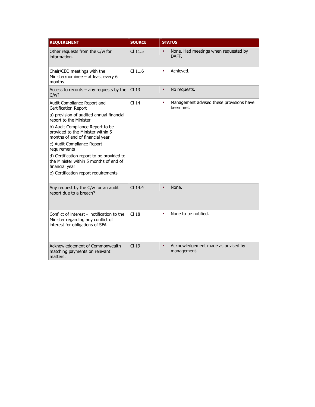| <b>REQUIREMENT</b>                                                                                                                                                                                                                                                                                                                                                                                                                   | <b>SOURCE</b>    | <b>STATUS</b>                                                      |
|--------------------------------------------------------------------------------------------------------------------------------------------------------------------------------------------------------------------------------------------------------------------------------------------------------------------------------------------------------------------------------------------------------------------------------------|------------------|--------------------------------------------------------------------|
| Other requests from the C/w for<br>information.                                                                                                                                                                                                                                                                                                                                                                                      | $Cl$ 11.5        | None. Had meetings when requested by<br>$\bullet$<br>DAFF.         |
| Chair/CEO meetings with the<br>Minister/nominee - at least every 6<br>months                                                                                                                                                                                                                                                                                                                                                         | $Cl$ 11.6        | Achieved.<br>$\bullet$                                             |
| Access to records $-$ any requests by the<br>C/w?                                                                                                                                                                                                                                                                                                                                                                                    | Cl <sub>13</sub> | No requests.<br>$\bullet$                                          |
| Audit Compliance Report and<br>Certification Report<br>a) provision of audited annual financial<br>report to the Minister<br>b) Audit Compliance Report to be<br>provided to the Minister within 5<br>months of end of financial year<br>c) Audit Compliance Report<br>requirements<br>d) Certification report to be provided to<br>the Minister within 5 months of end of<br>financial year<br>e) Certification report requirements | Cl <sub>14</sub> | Management advised these provisions have<br>$\bullet$<br>been met. |
| Any request by the C/w for an audit<br>report due to a breach?                                                                                                                                                                                                                                                                                                                                                                       | $Cl$ 14.4        | None.<br>$\bullet$                                                 |
| Conflict of interest - notification to the<br>Minister regarding any conflict of<br>interest for obligations of SFA                                                                                                                                                                                                                                                                                                                  | Cl <sub>18</sub> | None to be notified.<br>$\bullet$                                  |
| Acknowledgement of Commonwealth<br>matching payments on relevant<br>matters.                                                                                                                                                                                                                                                                                                                                                         | Cl <sub>19</sub> | $\bullet$<br>Acknowledgement made as advised by<br>management.     |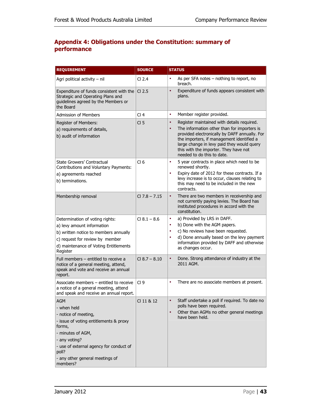#### **Appendix 4: Obligations under the Constitution: summary of performance**

| <b>REQUIREMENT</b>                                                                                                                                                                                                                             | <b>SOURCE</b>     | <b>STATUS</b>                                                                                                                                                                                                                                                                                                                          |
|------------------------------------------------------------------------------------------------------------------------------------------------------------------------------------------------------------------------------------------------|-------------------|----------------------------------------------------------------------------------------------------------------------------------------------------------------------------------------------------------------------------------------------------------------------------------------------------------------------------------------|
| Agri political activity - nil                                                                                                                                                                                                                  | Cl <sub>2.4</sub> | As per SFA notes – nothing to report, no<br>$\bullet$<br>breach.                                                                                                                                                                                                                                                                       |
| Expenditure of funds consistent with the<br>Strategic and Operating Plans and<br>guidelines agreed by the Members or<br>the Board                                                                                                              | $CI$ 2.5          | Expenditure of funds appears consistent with<br>$\bullet$<br>plans.                                                                                                                                                                                                                                                                    |
| <b>Admission of Members</b>                                                                                                                                                                                                                    | Cl <sub>4</sub>   | Member register provided.<br>٠                                                                                                                                                                                                                                                                                                         |
| Register of Members:<br>a) requirements of details,<br>b) audit of information                                                                                                                                                                 | CI <sub>5</sub>   | Register maintained with details required.<br>$\bullet$<br>The information other than for importers is<br>$\bullet$<br>provided electronically by DAFF annually. For<br>the importers, if management identified a<br>large change in levy paid they would query<br>this with the importer. They have not<br>needed to do this to date. |
| State Growers' Contractual<br>Contributions and Voluntary Payments:<br>a) agreements reached<br>b) terminations.                                                                                                                               | Cl <sub>6</sub>   | 5 year contracts in place which need to be<br>٠<br>renewed shortly.<br>Expiry date of 2012 for these contracts. If a<br>٠<br>levy increase is to occur, clauses relating to<br>this may need to be included in the new<br>contracts.                                                                                                   |
| Membership removal                                                                                                                                                                                                                             | $CI$ 7.8 $-$ 7.15 | There are two members in receivership and<br>$\bullet$<br>not currently paying levies. The Board has<br>instituted procedures in accord with the<br>constitution.                                                                                                                                                                      |
| Determination of voting rights:<br>a) levy amount information<br>b) written notice to members annually<br>c) request for review by member<br>d) maintenance of Voting Entitlements<br>Register                                                 | $Cl 8.1 - 8.6$    | a) Provided by LRS in DAFF.<br>٠<br>b) Done with the AGM papers.<br>$\bullet$<br>c) No reviews have been requested.<br>٠<br>d) Done annually based on the levy payment<br>٠<br>information provided by DAFF and otherwise<br>as changes occur.                                                                                         |
| Full members - entitled to receive a<br>notice of a general meeting, attend,<br>speak and vote and receive an annual<br>report.                                                                                                                | $Cl$ 8.7 $-$ 8.10 | Done. Strong attendance of industry at the<br>$\bullet$<br>2011 AGM.                                                                                                                                                                                                                                                                   |
| Associate members - entitled to receive<br>a notice of a general meeting, attend<br>and speak and receive an annual report.                                                                                                                    | Cl <sub>9</sub>   | There are no associate members at present.<br>$\bullet$                                                                                                                                                                                                                                                                                |
| <b>AGM</b><br>- when held<br>- notice of meeting,<br>- issue of voting entitlements & proxy<br>forms,<br>- minutes of AGM,<br>- any voting?<br>- use of external agency for conduct of<br>poll?<br>- any other general meetings of<br>members? | CI 11 & 12        | Staff undertake a poll if required. To date no<br>$\bullet$<br>polls have been required.<br>Other than AGMs no other general meetings<br>$\bullet$<br>have been held.                                                                                                                                                                  |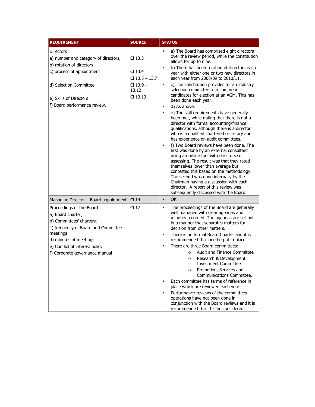| <b>REQUIREMENT</b>                                                                                                                                                                                                         | <b>SOURCE</b>                                                                    | <b>STATUS</b>                                                                                                                                                                                                                                                                                                                                                                                                                                                                                                                                                                                                                                                                                                                                                                                                                                                                                                                                                                                                                                                                                                                                    |
|----------------------------------------------------------------------------------------------------------------------------------------------------------------------------------------------------------------------------|----------------------------------------------------------------------------------|--------------------------------------------------------------------------------------------------------------------------------------------------------------------------------------------------------------------------------------------------------------------------------------------------------------------------------------------------------------------------------------------------------------------------------------------------------------------------------------------------------------------------------------------------------------------------------------------------------------------------------------------------------------------------------------------------------------------------------------------------------------------------------------------------------------------------------------------------------------------------------------------------------------------------------------------------------------------------------------------------------------------------------------------------------------------------------------------------------------------------------------------------|
| <b>Directors</b><br>a) number and category of directors,<br>b) rotation of directors<br>c) process of appointment<br>d) Selection Committee<br>e) Skills of Directors<br>f) Board performance review.                      | $Cl$ 13.3<br>$Cl$ 13.4<br>$Cl$ 13.5 - 13.7<br>$Cl$ 13.9 $-$<br>13.12<br>CI 13.13 | a) The Board has comprised eight directors<br>$\bullet$<br>over the review period, while the constitution<br>allows for up to nine.<br>b) There has been rotation of directors each<br>year with either one or two new directors in<br>each year from 2008/09 to 2010/11.<br>c) The constitution provides for an industry<br>٠<br>selection committee to recommend<br>candidates for election at an AGM. This has<br>been done each year.<br>d) As above.<br>٠<br>e) The skill requirements have generally<br>٠<br>been met, while noting that there is not a<br>director with formal accounting/finance<br>qualifications, although there is a director<br>who is a qualified chartered secretary and<br>has experience on audit committees.<br>f) Two Board reviews have been done. The<br>٠<br>first was done by an external consultant<br>using an online tool with directors self<br>assessing. The result was that they rated<br>themselves lower than average but<br>contested this based on the methodology.<br>The second was done internally by the<br>Chairman having a discussion with each<br>director. A report of this review was |
| Managing Director - Board appointment                                                                                                                                                                                      | Cl 14                                                                            | subsequently discussed with the Board.<br>OK<br>$\bullet$                                                                                                                                                                                                                                                                                                                                                                                                                                                                                                                                                                                                                                                                                                                                                                                                                                                                                                                                                                                                                                                                                        |
| Proceedings of the Board<br>a) Board charter,<br>b) Committees' charters,<br>c) frequency of Board and Committee<br>meetings<br>d) minutes of meetings<br>e) Conflict of interest policy<br>f) Corporate governance manual | Cl <sub>17</sub>                                                                 | The proceedings of the Board are generally<br>$\bullet$<br>well managed with clear agendas and<br>minutes recorded. The agendas are set out<br>in a manner that separates matters for<br>decision from other matters.<br>There is no formal Board Charter and it is<br>٠<br>recommended that one be put in place.<br>There are three Board committees:<br>٠<br>Audit and Finance Committee<br>$\Omega$<br>Research & Development<br>$\circ$<br><b>Investment Committee</b><br>Promotion, Services and<br>$\circ$<br>Communications Committee.<br>Each committee has terms of reference in<br>$\bullet$<br>place which are reviewed each year.<br>Performance reviews of the committees<br>٠<br>operations have not been done in<br>conjunction with the Board reviews and it is<br>recommended that this be considered.                                                                                                                                                                                                                                                                                                                          |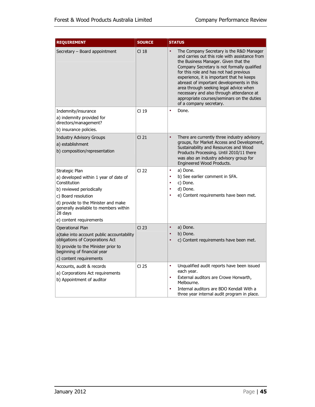| <b>REQUIREMENT</b>                                                                                                                                                                                                                               | <b>SOURCE</b>    | <b>STATUS</b>                                                                                                                                                                                                                                                                                                                                                                                                                                                                                     |
|--------------------------------------------------------------------------------------------------------------------------------------------------------------------------------------------------------------------------------------------------|------------------|---------------------------------------------------------------------------------------------------------------------------------------------------------------------------------------------------------------------------------------------------------------------------------------------------------------------------------------------------------------------------------------------------------------------------------------------------------------------------------------------------|
| Secretary - Board appointment                                                                                                                                                                                                                    | CI 18            | The Company Secretary is the R&D Manager<br>$\bullet$<br>and carries out this role with assistance from<br>the Business Manager. Given that the<br>Company Secretary is not formally qualified<br>for this role and has not had previous<br>experience, it is important that he keeps<br>abreast of important developments in this<br>area through seeking legal advice when<br>necessary and also through attendance at<br>appropriate courses/seminars on the duties<br>of a company secretary. |
| Indemnity/insurance                                                                                                                                                                                                                              | Cl <sub>19</sub> | Done.<br>$\bullet$                                                                                                                                                                                                                                                                                                                                                                                                                                                                                |
| a) indemnity provided for<br>directors/management?                                                                                                                                                                                               |                  |                                                                                                                                                                                                                                                                                                                                                                                                                                                                                                   |
| b) insurance policies.                                                                                                                                                                                                                           |                  |                                                                                                                                                                                                                                                                                                                                                                                                                                                                                                   |
| <b>Industry Advisory Groups</b><br>a) establishment<br>b) composition/representation                                                                                                                                                             | CI 21            | $\bullet$<br>There are currently three industry advisory<br>groups, for Market Access and Development,<br>Sustainability and Resources and Wood<br>Products Processing. Until 2010/11 there<br>was also an industry advisory group for<br>Engineered Wood Products.                                                                                                                                                                                                                               |
| Strategic Plan<br>a) developed within 1 year of date of<br>Constitution<br>b) reviewed periodically<br>c) Board resolution<br>d) provide to the Minister and make<br>generally available to members within<br>28 days<br>e) content requirements | Cl <sub>22</sub> | a) Done.<br>۰<br>b) See earlier comment in SFA.<br>٠<br>c) Done.<br>٠<br>d) Done.<br>$\bullet$<br>e) Content requirements have been met.<br>$\bullet$                                                                                                                                                                                                                                                                                                                                             |
| Operational Plan<br>a)take into account public accountability<br>obligations of Corporations Act<br>b) provide to the Minister prior to<br>beginning of financial year<br>c) content requirements                                                | CI 23            | $\bullet$<br>a) Done.<br>b) Done.<br>$\bullet$<br>c) Content requirements have been met.<br>$\bullet$                                                                                                                                                                                                                                                                                                                                                                                             |
| Accounts, audit & records<br>a) Corporations Act requirements<br>b) Appointment of auditor                                                                                                                                                       | Cl <sub>25</sub> | Unqualified audit reports have been issued<br>$\bullet$<br>each year.<br>External auditors are Crowe Horwarth,<br>٠<br>Melbourne.<br>Internal auditors are BDO Kendall With a<br>$\bullet$<br>three year internal audit program in place.                                                                                                                                                                                                                                                         |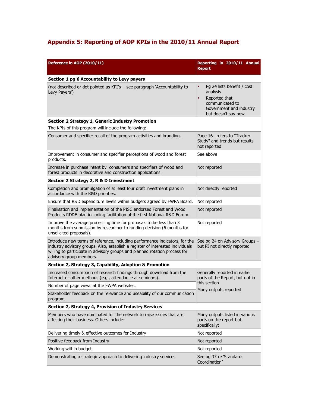# **Appendix 5: Reporting of AOP KPIs in the 2010/11 Annual Report**

| Reference in AOP (2010/11)                                                                                                                                                                                                                                             | Reporting in 2010/11 Annual<br><b>Report</b>                                                                                                           |  |  |  |  |  |  |
|------------------------------------------------------------------------------------------------------------------------------------------------------------------------------------------------------------------------------------------------------------------------|--------------------------------------------------------------------------------------------------------------------------------------------------------|--|--|--|--|--|--|
| Section 1 pg 6 Accountability to Levy payers                                                                                                                                                                                                                           |                                                                                                                                                        |  |  |  |  |  |  |
| (not described or dot pointed as KPI's - see paragraph 'Accountability to<br>Levy Payers')                                                                                                                                                                             | Pg 24 lists benefit / cost<br>$\bullet$<br>analysis<br>Reported that<br>$\bullet$<br>communicated to<br>Government and industry<br>but doesn't say how |  |  |  |  |  |  |
| Section 2 Strategy 1, Generic Industry Promotion                                                                                                                                                                                                                       |                                                                                                                                                        |  |  |  |  |  |  |
| The KPIs of this program will include the following:                                                                                                                                                                                                                   |                                                                                                                                                        |  |  |  |  |  |  |
| Consumer and specifier recall of the program activities and branding.                                                                                                                                                                                                  | Page 16 - refers to "Tracker<br>Study" and trends but results<br>not reported                                                                          |  |  |  |  |  |  |
| Improvement in consumer and specifier perceptions of wood and forest<br>products.                                                                                                                                                                                      | See above                                                                                                                                              |  |  |  |  |  |  |
| Increase in purchase intent by consumers and specifiers of wood and<br>forest products in decorative and construction applications.                                                                                                                                    | Not reported                                                                                                                                           |  |  |  |  |  |  |
| Section 2 Strategy 2, R & D Investment                                                                                                                                                                                                                                 |                                                                                                                                                        |  |  |  |  |  |  |
| Completion and promulgation of at least four draft investment plans in<br>accordance with the R&D priorities.                                                                                                                                                          | Not directly reported                                                                                                                                  |  |  |  |  |  |  |
| Ensure that R&D expenditure levels within budgets agreed by FWPA Board.                                                                                                                                                                                                | Not reported                                                                                                                                           |  |  |  |  |  |  |
| Finalisation and implementation of the PISC endorsed Forest and Wood<br>Products RD&E plan including facilitation of the first National R&D Forum.                                                                                                                     | Not reported                                                                                                                                           |  |  |  |  |  |  |
| Improve the average processing time for proposals to be less than 3<br>months from submission by researcher to funding decision (6 months for<br>unsolicited proposals).                                                                                               | Not reported                                                                                                                                           |  |  |  |  |  |  |
| Introduce new terms of reference, including performance indicators, for the<br>industry advisory groups. Also, establish a register of interested individuals<br>willing to participate in advisory groups and planned rotation process for<br>advisory group members. | See pg 24 on Advisory Groups -<br>but PI not directly reported                                                                                         |  |  |  |  |  |  |
| Section 2, Strategy 3, Capability, Adoption & Promotion                                                                                                                                                                                                                |                                                                                                                                                        |  |  |  |  |  |  |
| Increased consumption of research findings through download from the<br>Internet or other methods (e.g., attendance at seminars).                                                                                                                                      | Generally reported in earlier<br>parts of the Report, but not in                                                                                       |  |  |  |  |  |  |
| Number of page views at the FWPA websites.                                                                                                                                                                                                                             | this section                                                                                                                                           |  |  |  |  |  |  |
| Stakeholder feedback on the relevance and useability of our communication<br>program.                                                                                                                                                                                  | Many outputs reported                                                                                                                                  |  |  |  |  |  |  |
| Section 2, Strategy 4, Provision of Industry Services                                                                                                                                                                                                                  |                                                                                                                                                        |  |  |  |  |  |  |
| Members who have nominated for the network to raise issues that are<br>affecting their business. Others include:                                                                                                                                                       | Many outputs listed in various<br>parts on the report but,<br>specifically:                                                                            |  |  |  |  |  |  |
| Delivering timely & effective outcomes for Industry                                                                                                                                                                                                                    | Not reported                                                                                                                                           |  |  |  |  |  |  |
| Positive feedback from Industry                                                                                                                                                                                                                                        | Not reported                                                                                                                                           |  |  |  |  |  |  |
| Working within budget                                                                                                                                                                                                                                                  | Not reported                                                                                                                                           |  |  |  |  |  |  |
| Demonstrating a strategic approach to delivering industry services                                                                                                                                                                                                     | See pg 37 re 'Standards<br>Coordination'                                                                                                               |  |  |  |  |  |  |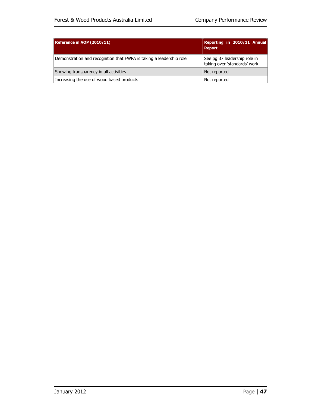| Reference in AOP (2010/11)                                          | Reporting in 2010/11 Annual<br><b>Report</b>                 |
|---------------------------------------------------------------------|--------------------------------------------------------------|
| Demonstration and recognition that FWPA is taking a leadership role | See pg 37 leadership role in<br>taking over 'standards' work |
| Showing transparency in all activities                              | Not reported                                                 |
| Increasing the use of wood based products                           | Not reported                                                 |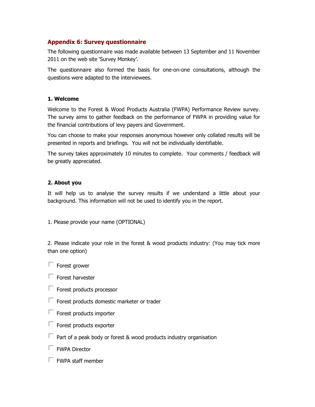#### **Appendix 6: Survey questionnaire :**

The following questionnaire was The following questionnaire was made available between 13 September and 11 November 2011 on the web site 'Survey Monkey 2011 on the web site 'Survey Monkey'.

The questionnaire also formed the basis for one The questionnaire also formed the basis for one-on-one consultations, although the questions were adapted to the interviewees.

#### **1. Welcome**

Welcome to the Forest & Wood Products Australia (FWPA) Performance Review survey. The survey aims to gather feedback on the performance of FWPA in providing value for the financial contributions of levy payers and Government. the financial contributions of levy payers and Government. questions were adapted to the interviewees.<br>**1. Welcome**<br>Welcome to the Forest & Wood Products Australia (FWPA) Performance Review survey.<br>The survey aims to gather feedback on the performance of FWPA in providing value fo The following questionnaire was made available between 13 September and 11 November<br>2011 on the web site "Survey Monkey".<br>The questionnaire also formed the basis for one-on-one consultations, although the<br>questions were ad

You can choose to make your responses anonymous however only collated results will be<br>presented in reports and briefings. You will not be individually identifiable. presented in reports and briefings. You will not be individually identifiable.

The survey takes approximately 10 minutes to complete. Your comments / feedback will be greatly appreciated.

#### **2. About you**

It will help us to analyse the survey results if we understand a little about your background. This information will not be used to identify you in the report.

1. Please provide your name (OPTIONAL)

2. Please indicate your role in the forest & wood products industry: (You may tick more than one option)

- $\Box$  Forest grower
- $\Box$  Forest harvester
- $\Box$  Forest products processor
- $\Box$  Forest products domestic marketer or trader
- $\Box$  Forest products importer
- $\Box$  Forest products exporter
- $\Box$  Part of a peak body or forest & wood products industry organisation
- FWPA Director
- $\Box$  FWPA staff member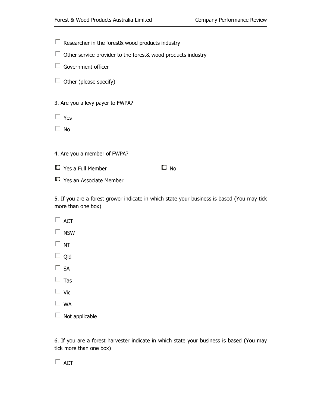Researcher in the forest& wood products industry

- $\Box$  Other service provider to the forest& wood products industry wood products<br> $\square$  No
- $\Box$  Government officer
- $\Box$  Other (please specify)

3. Are you a levy payer to FWPA?

Yes

 $\square$  No

4. Are you a member of FWPA?

 $\Box$  Yes a Full Member

 $\Box$  Yes an Associate Member

5. If you are a forest grower indicate in which state your business is based (You may tick more than one box)

- $\Box$  ACT
- $\square$  NSW
- $\Box$  NT
- $\Box$  Old
- $\Box$  SA
- $\Box$  Tas
- $\Box$  Vic
- $\Box$  WA
- $\Box$  Not applicable

6. If you are a forest harvester indicate in which state your business is based (You may tick more than one box)

 $\Box$  ACT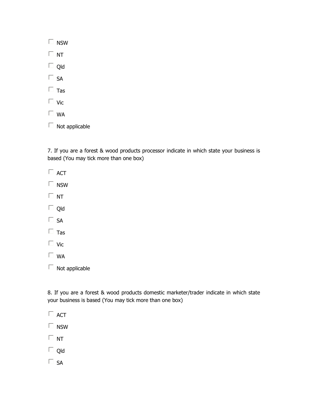| nsw |
|-----|
| NΤ  |
| Qld |
| SA  |
| Tas |
| Vic |
|     |

- $\Box$  WA
- $\Box$  Not applicable

7. If you are a forest & wood products processor indicate in which state your business is based (You may tick more than one box)

- $\Box$  ACT
- $\square$  NSW
- $\Box$  NT
- □ Qld
- $\square$  SA
- $\Box$  Tas
- $\Box$  Vic
- $\square$  WA
- $\Box$  Not applicable

8. If you are a forest & wood products domestic marketer/trader indicate in which state your business is based (You may tick more than one box) are a forest & wood products processor indicate in which state your business is<br>u may tick more than one box)<br>pplicable<br>are a forest & wood products domestic marketer/trader indicate in which state<br>ness is based (You may t

- $\Box$  ACT
- $\square$  NSW
- $\Box$  NT
- □ Qld
- $\square$  SA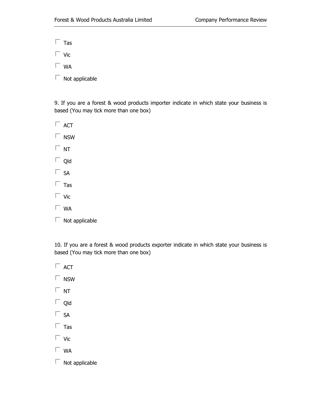$\Box$  Tas

 $\Box$  Vic

 $\Box$  WA

 $\Box$  Not applicable

9. If you are a forest & wood products importer indicate in which state your business is based (You may tick more than one box)

 $\Box$  ACT

 $\square$  NSW

 $\square$  NT

 $\Box$  Qld

 $\square$  SA

 $\Box$  Tas

 $\Box$  Vic

 $\Box$  WA

 $\Box$  Not applicable

10. If you are a forest & wood products exporter indicate in which state your business is based (You may tick more than one box) If you are a forest & wood products importer indicate in which state<br>sed (You may tick more than one box)<br>ACT<br>NSW<br>NT<br>NT<br>Old<br>SA<br>Tas<br>Vic<br>WA<br>Not applicable<br>.<br>If you are a forest & wood products exporter indicate in which stat

 $\Box$  ACT  $\square$  NSW  $\Box$  NT  $\Box$  Qld  $\square$  SA  $\Box$  Tas  $\Box$  Vic  $\Box$  WA  $\Box$  Not applicable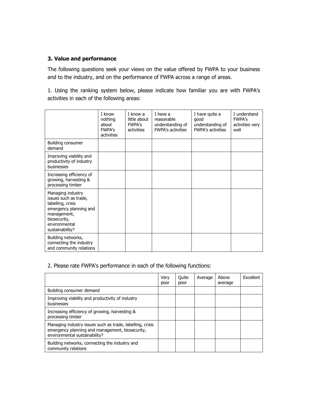#### **3. Value and performance**

The following questions seek your views on the value offered by FWPA to your business and to the industry, and on the performance of FWPA across a range of areas.

1. Using the ranking system below, please indicate how familiar you are with FWPA's activities in each of the following areas:

|                                                                                                                                                              | I know<br>nothing<br>about<br><b>FWPA's</b><br>activities | I know a<br>little about<br><b>FWPA's</b><br>activities | I have a<br>reasonable<br>understanding of<br><b>FWPA's activities</b> | I have quite a<br>good<br>understanding of<br><b>FWPA's activities</b> | I understand<br><b>FWPA's</b><br>activities very<br>well |
|--------------------------------------------------------------------------------------------------------------------------------------------------------------|-----------------------------------------------------------|---------------------------------------------------------|------------------------------------------------------------------------|------------------------------------------------------------------------|----------------------------------------------------------|
| Building consumer<br>demand                                                                                                                                  |                                                           |                                                         |                                                                        |                                                                        |                                                          |
| Improving viability and<br>productivity of industry<br>businesses                                                                                            |                                                           |                                                         |                                                                        |                                                                        |                                                          |
| Increasing efficiency of<br>growing, harvesting &<br>processing timber                                                                                       |                                                           |                                                         |                                                                        |                                                                        |                                                          |
| Managing industry<br>issues such as trade,<br>labelling, crisis<br>emergency planning and<br>management,<br>biosecurity,<br>environmental<br>sustainability? |                                                           |                                                         |                                                                        |                                                                        |                                                          |
| Building networks,<br>connecting the industry<br>and community relations                                                                                     |                                                           |                                                         |                                                                        |                                                                        |                                                          |

#### 2. Please rate FWPA's performance in each of the following functions:

|                                                                                                                                               | Very<br>poor | Ouite<br>poor | Average | Above<br>average | Excellent |
|-----------------------------------------------------------------------------------------------------------------------------------------------|--------------|---------------|---------|------------------|-----------|
| Building consumer demand                                                                                                                      |              |               |         |                  |           |
| Improving viability and productivity of industry<br>businesses                                                                                |              |               |         |                  |           |
| Increasing efficiency of growing, harvesting &<br>processing timber                                                                           |              |               |         |                  |           |
| Managing industry issues such as trade, labelling, crisis<br>emergency planning and management, biosecurity,<br>environmental sustainability? |              |               |         |                  |           |
| Building networks, connecting the industry and<br>community relations                                                                         |              |               |         |                  |           |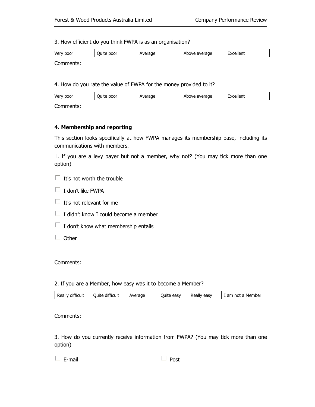3. How efficient do you think FWPA is as an organisation? How

| poor<br><b>Very</b> | poor<br>Juite | Average | average<br>Above | Excellent |
|---------------------|---------------|---------|------------------|-----------|
|                     |               |         |                  |           |

Comments:

4. How do you rate the value of FWPA for the money provided to it?

| poor | poor  | rage | average | -         |
|------|-------|------|---------|-----------|
| Very | Juite | ⊣∨⊢  | Above   | Excellent |
|      |       |      |         |           |

Comments:

#### **4. Membership and reporting**

This section looks specifically at how FWPA manages its membership base, including its communications with members. This section looks specifically at how FWPA manages its membership base, including its<br>communications with members.<br>1. If you are a levy payer but not a member, why not? (You may tick more than one

option) s section looks specifically at how FWPA manages its membership base, including its mmunications with members.<br>If you are a levy payer but not a member, why not? (You may tick more than one<br>ion)<br>It's not worth the trouble<br>

- $\Box$  It's not worth the trouble
- $\Box$  I don't like FWPA
- $\Box$  It's not relevant for me
- $\Box$  I didn't know I could become a member
- $\Box$  I don't know what membership entails
- $\Box$  Other

#### Comments:

#### 2. If you are a Member, how easy was it to become a Member?

| Really difficult<br><b>Quite difficult</b> | Average | Quite easy | Really easy | . am not a Member |
|--------------------------------------------|---------|------------|-------------|-------------------|
|--------------------------------------------|---------|------------|-------------|-------------------|

Comments:

3. How do you currently receive information from FWPA? (You may tick more than one option)<br>  $\Box$  E-mail  $\Box$  Post option)

| Post |
|------|
|      |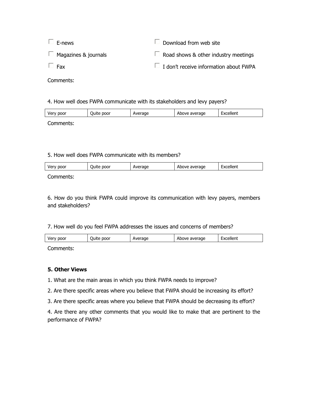| $\Box$ E-news               | $\Box$ Download from web site                 |
|-----------------------------|-----------------------------------------------|
| $\Box$ Magazines & journals | $\Box$ Road shows & other industry meetings   |
| $\Box$ Fax                  | $\Box$ I don't receive information about FWPA |

Comments:

#### 4. How well does FWPA communicate with its stakeholders and levy payers? and

| poor<br>Very | poor<br>' )uite | rage | average<br>Above | Excellent |
|--------------|-----------------|------|------------------|-----------|
|              |                 |      |                  |           |

Comments:

#### 5. How well does FWPA communicate with its members?

| Very<br>poor | poor<br>Juite | erage<br>Ave | Above average | Excellent |
|--------------|---------------|--------------|---------------|-----------|
|              |               |              |               |           |

Comments:

6. How do you think FWPA could improve its communication with levy payers, members and stakeholders? 6. How do you think FWPA could improve its communication with levy payers,<br>and stakeholders?<br>7. How well do you feel FWPA addresses the issues and concerns of members? do you think FWPA could improve its communication with levy payers, membe<br>
keholders?<br>
well do you feel FWPA addresses the issues and concerns of members?<br>
There of the poor and there of the poor and there of the poor<br>
Abo

| poor<br>Verv<br>v u | poor<br>Juite | Average | average<br>$\sim$ $\sim$ $\sim$ | $\overline{\phantom{0}}$<br>Excellent |
|---------------------|---------------|---------|---------------------------------|---------------------------------------|
|                     |               |         |                                 |                                       |

Comments:

#### **5. Other Views**

1. What are the main areas in which you think FWPA needs to improve?

2. Are there specific areas where you believe that FWPA should be increasing its effort?

3. Are there specific areas where you believe that FWPA should be decreasing its effort?

4. Are there any other comments that you would like to make that are pertinent to the performance of FWPA?